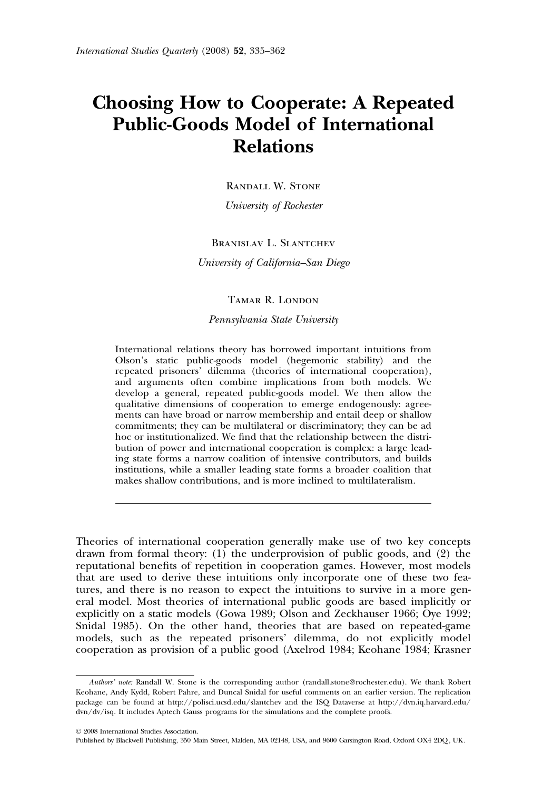# Choosing How to Cooperate: A Repeated Public-Goods Model of International Relations

Randall W. Stone

University of Rochester

# Branislav L. Slantchev

University of California–San Diego

TAMAR R. LONDON

Pennsylvania State University

International relations theory has borrowed important intuitions from Olson's static public-goods model (hegemonic stability) and the repeated prisoners' dilemma (theories of international cooperation), and arguments often combine implications from both models. We develop a general, repeated public-goods model. We then allow the qualitative dimensions of cooperation to emerge endogenously: agreements can have broad or narrow membership and entail deep or shallow commitments; they can be multilateral or discriminatory; they can be ad hoc or institutionalized. We find that the relationship between the distribution of power and international cooperation is complex: a large leading state forms a narrow coalition of intensive contributors, and builds institutions, while a smaller leading state forms a broader coalition that makes shallow contributions, and is more inclined to multilateralism.

Theories of international cooperation generally make use of two key concepts drawn from formal theory:  $(1)$  the underprovision of public goods, and  $(2)$  the reputational benefits of repetition in cooperation games. However, most models that are used to derive these intuitions only incorporate one of these two features, and there is no reason to expect the intuitions to survive in a more general model. Most theories of international public goods are based implicitly or explicitly on a static models (Gowa 1989; Olson and Zeckhauser 1966; Oye 1992; Snidal 1985). On the other hand, theories that are based on repeated-game models, such as the repeated prisoners' dilemma, do not explicitly model cooperation as provision of a public good (Axelrod 1984; Keohane 1984; Krasner

Authors' note: Randall W. Stone is the corresponding author (randall.stone@rochester.edu). We thank Robert Keohane, Andy Kydd, Robert Pahre, and Duncal Snidal for useful comments on an earlier version. The replication package can be found at http://polisci.ucsd.edu/slantchev and the ISQ Dataverse at http://dvn.iq.harvard.edu/ dvn/dv/isq. It includes Aptech Gauss programs for the simulations and the complete proofs.

 $©$  2008 International Studies Association.

Published by Blackwell Publishing, 350 Main Street, Malden, MA 02148, USA, and 9600 Garsington Road, Oxford OX4 2DQ , UK .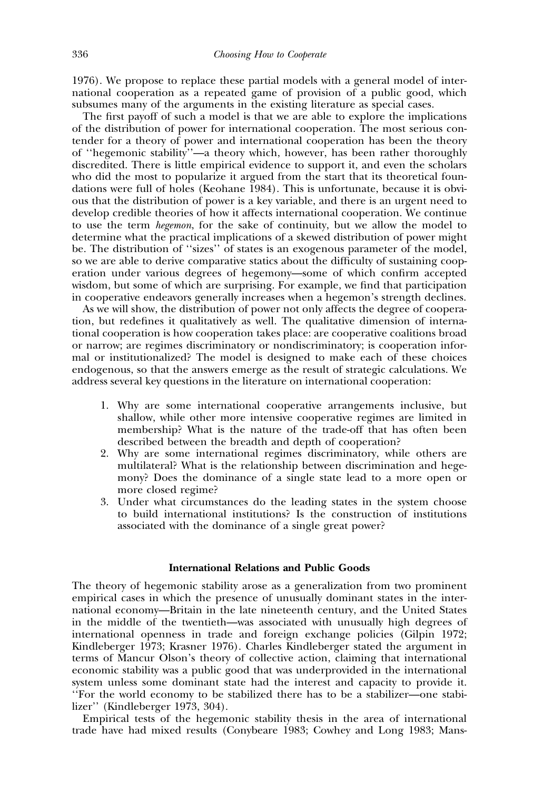1976). We propose to replace these partial models with a general model of international cooperation as a repeated game of provision of a public good, which subsumes many of the arguments in the existing literature as special cases.

The first payoff of such a model is that we are able to explore the implications of the distribution of power for international cooperation. The most serious contender for a theory of power and international cooperation has been the theory of ''hegemonic stability''—a theory which, however, has been rather thoroughly discredited. There is little empirical evidence to support it, and even the scholars who did the most to popularize it argued from the start that its theoretical foundations were full of holes (Keohane 1984). This is unfortunate, because it is obvious that the distribution of power is a key variable, and there is an urgent need to develop credible theories of how it affects international cooperation. We continue to use the term hegemon, for the sake of continuity, but we allow the model to determine what the practical implications of a skewed distribution of power might be. The distribution of ''sizes'' of states is an exogenous parameter of the model, so we are able to derive comparative statics about the difficulty of sustaining cooperation under various degrees of hegemony—some of which confirm accepted wisdom, but some of which are surprising. For example, we find that participation in cooperative endeavors generally increases when a hegemon's strength declines.

As we will show, the distribution of power not only affects the degree of cooperation, but redefines it qualitatively as well. The qualitative dimension of international cooperation is how cooperation takes place: are cooperative coalitions broad or narrow; are regimes discriminatory or nondiscriminatory; is cooperation informal or institutionalized? The model is designed to make each of these choices endogenous, so that the answers emerge as the result of strategic calculations. We address several key questions in the literature on international cooperation:

- 1. Why are some international cooperative arrangements inclusive, but shallow, while other more intensive cooperative regimes are limited in membership? What is the nature of the trade-off that has often been described between the breadth and depth of cooperation?
- 2. Why are some international regimes discriminatory, while others are multilateral? What is the relationship between discrimination and hegemony? Does the dominance of a single state lead to a more open or more closed regime?
- 3. Under what circumstances do the leading states in the system choose to build international institutions? Is the construction of institutions associated with the dominance of a single great power?

#### International Relations and Public Goods

The theory of hegemonic stability arose as a generalization from two prominent empirical cases in which the presence of unusually dominant states in the international economy—Britain in the late nineteenth century, and the United States in the middle of the twentieth—was associated with unusually high degrees of international openness in trade and foreign exchange policies (Gilpin 1972; Kindleberger 1973; Krasner 1976). Charles Kindleberger stated the argument in terms of Mancur Olson's theory of collective action, claiming that international economic stability was a public good that was underprovided in the international system unless some dominant state had the interest and capacity to provide it. ''For the world economy to be stabilized there has to be a stabilizer—one stabilizer'' (Kindleberger 1973, 304).

Empirical tests of the hegemonic stability thesis in the area of international trade have had mixed results (Conybeare 1983; Cowhey and Long 1983; Mans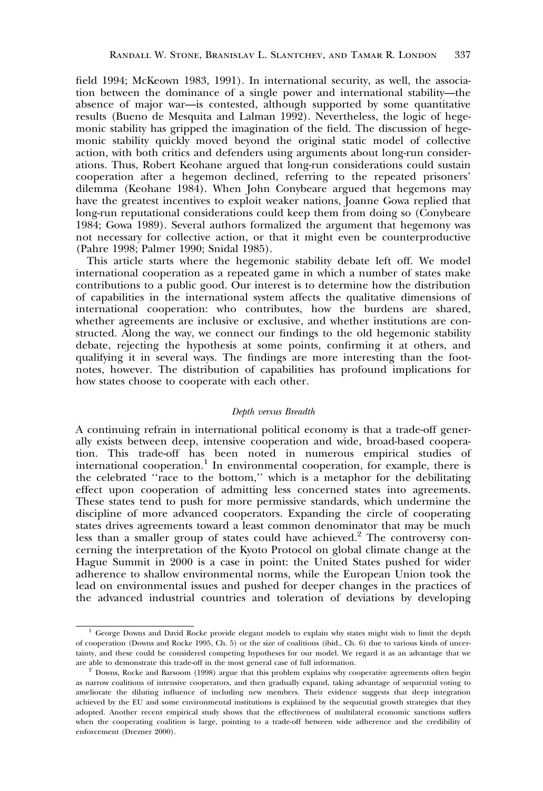field 1994; McKeown 1983, 1991). In international security, as well, the association between the dominance of a single power and international stability—the absence of major war—is contested, although supported by some quantitative results (Bueno de Mesquita and Lalman 1992). Nevertheless, the logic of hegemonic stability has gripped the imagination of the field. The discussion of hegemonic stability quickly moved beyond the original static model of collective action, with both critics and defenders using arguments about long-run considerations. Thus, Robert Keohane argued that long-run considerations could sustain cooperation after a hegemon declined, referring to the repeated prisoners' dilemma (Keohane 1984). When John Conybeare argued that hegemons may have the greatest incentives to exploit weaker nations, Joanne Gowa replied that long-run reputational considerations could keep them from doing so (Conybeare 1984; Gowa 1989). Several authors formalized the argument that hegemony was not necessary for collective action, or that it might even be counterproductive (Pahre 1998; Palmer 1990; Snidal 1985).

This article starts where the hegemonic stability debate left off. We model international cooperation as a repeated game in which a number of states make contributions to a public good. Our interest is to determine how the distribution of capabilities in the international system affects the qualitative dimensions of international cooperation: who contributes, how the burdens are shared, whether agreements are inclusive or exclusive, and whether institutions are constructed. Along the way, we connect our findings to the old hegemonic stability debate, rejecting the hypothesis at some points, confirming it at others, and qualifying it in several ways. The findings are more interesting than the footnotes, however. The distribution of capabilities has profound implications for how states choose to cooperate with each other.

#### Depth versus Breadth

A continuing refrain in international political economy is that a trade-off generally exists between deep, intensive cooperation and wide, broad-based cooperation. This trade-off has been noted in numerous empirical studies of international cooperation.<sup>1</sup> In environmental cooperation, for example, there is the celebrated ''race to the bottom,'' which is a metaphor for the debilitating effect upon cooperation of admitting less concerned states into agreements. These states tend to push for more permissive standards, which undermine the discipline of more advanced cooperators. Expanding the circle of cooperating states drives agreements toward a least common denominator that may be much less than a smaller group of states could have achieved.<sup>2</sup> The controversy concerning the interpretation of the Kyoto Protocol on global climate change at the Hague Summit in 2000 is a case in point: the United States pushed for wider adherence to shallow environmental norms, while the European Union took the lead on environmental issues and pushed for deeper changes in the practices of the advanced industrial countries and toleration of deviations by developing

<sup>&</sup>lt;sup>1</sup> George Downs and David Rocke provide elegant models to explain why states might wish to limit the depth of cooperation (Downs and Rocke 1995, Ch. 5) or the size of coalitions (ibid., Ch. 6) due to various kinds of uncertainty, and these could be considered competing hypotheses for our model. We regard it as an advantage that we are able to demonstrate this trade-off in the most general case of full information.

<sup>&</sup>lt;sup>2</sup> Downs, Rocke and Barsoom (1998) argue that this problem explains why cooperative agreements often begin as narrow coalitions of intensive cooperators, and then gradually expand, taking advantage of sequential voting to ameliorate the diluting influence of including new members. Their evidence suggests that deep integration achieved by the EU and some environmental institutions is explained by the sequential growth strategies that they adopted. Another recent empirical study shows that the effectiveness of multilateral economic sanctions suffers when the cooperating coalition is large, pointing to a trade-off between wide adherence and the credibility of enforcement (Drezner 2000).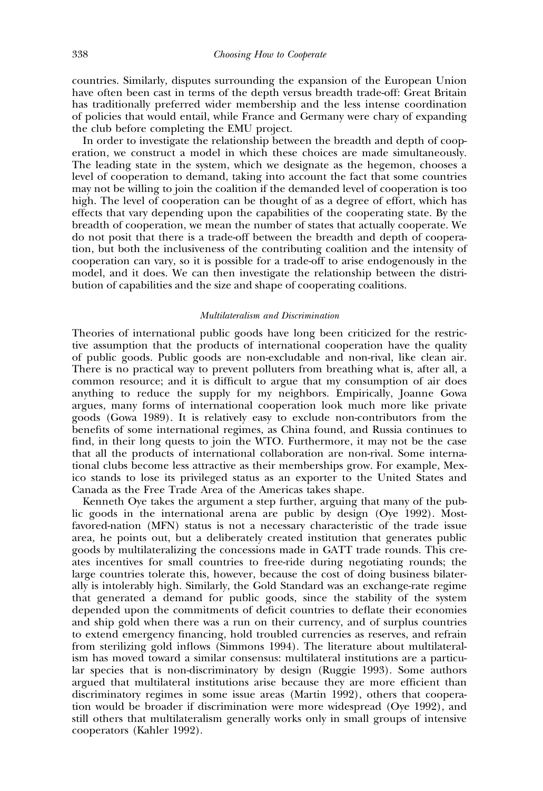countries. Similarly, disputes surrounding the expansion of the European Union have often been cast in terms of the depth versus breadth trade-off: Great Britain has traditionally preferred wider membership and the less intense coordination of policies that would entail, while France and Germany were chary of expanding the club before completing the EMU project.

In order to investigate the relationship between the breadth and depth of cooperation, we construct a model in which these choices are made simultaneously. The leading state in the system, which we designate as the hegemon, chooses a level of cooperation to demand, taking into account the fact that some countries may not be willing to join the coalition if the demanded level of cooperation is too high. The level of cooperation can be thought of as a degree of effort, which has effects that vary depending upon the capabilities of the cooperating state. By the breadth of cooperation, we mean the number of states that actually cooperate. We do not posit that there is a trade-off between the breadth and depth of cooperation, but both the inclusiveness of the contributing coalition and the intensity of cooperation can vary, so it is possible for a trade-off to arise endogenously in the model, and it does. We can then investigate the relationship between the distribution of capabilities and the size and shape of cooperating coalitions.

#### Multilateralism and Discrimination

Theories of international public goods have long been criticized for the restrictive assumption that the products of international cooperation have the quality of public goods. Public goods are non-excludable and non-rival, like clean air. There is no practical way to prevent polluters from breathing what is, after all, a common resource; and it is difficult to argue that my consumption of air does anything to reduce the supply for my neighbors. Empirically, Joanne Gowa argues, many forms of international cooperation look much more like private goods (Gowa 1989). It is relatively easy to exclude non-contributors from the benefits of some international regimes, as China found, and Russia continues to find, in their long quests to join the WTO. Furthermore, it may not be the case that all the products of international collaboration are non-rival. Some international clubs become less attractive as their memberships grow. For example, Mexico stands to lose its privileged status as an exporter to the United States and Canada as the Free Trade Area of the Americas takes shape.

Kenneth Oye takes the argument a step further, arguing that many of the public goods in the international arena are public by design (Oye 1992). Mostfavored-nation (MFN) status is not a necessary characteristic of the trade issue area, he points out, but a deliberately created institution that generates public goods by multilateralizing the concessions made in GATT trade rounds. This creates incentives for small countries to free-ride during negotiating rounds; the large countries tolerate this, however, because the cost of doing business bilaterally is intolerably high. Similarly, the Gold Standard was an exchange-rate regime that generated a demand for public goods, since the stability of the system depended upon the commitments of deficit countries to deflate their economies and ship gold when there was a run on their currency, and of surplus countries to extend emergency financing, hold troubled currencies as reserves, and refrain from sterilizing gold inflows (Simmons 1994). The literature about multilateralism has moved toward a similar consensus: multilateral institutions are a particular species that is non-discriminatory by design (Ruggie 1993). Some authors argued that multilateral institutions arise because they are more efficient than discriminatory regimes in some issue areas (Martin 1992), others that cooperation would be broader if discrimination were more widespread (Oye 1992), and still others that multilateralism generally works only in small groups of intensive cooperators (Kahler 1992).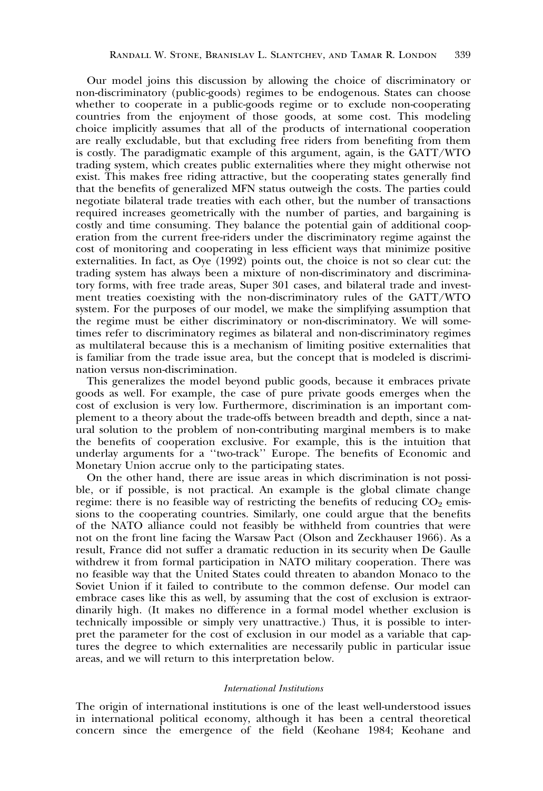Our model joins this discussion by allowing the choice of discriminatory or non-discriminatory (public-goods) regimes to be endogenous. States can choose whether to cooperate in a public-goods regime or to exclude non-cooperating countries from the enjoyment of those goods, at some cost. This modeling choice implicitly assumes that all of the products of international cooperation are really excludable, but that excluding free riders from benefiting from them is costly. The paradigmatic example of this argument, again, is the GATT/WTO trading system, which creates public externalities where they might otherwise not exist. This makes free riding attractive, but the cooperating states generally find that the benefits of generalized MFN status outweigh the costs. The parties could negotiate bilateral trade treaties with each other, but the number of transactions required increases geometrically with the number of parties, and bargaining is costly and time consuming. They balance the potential gain of additional cooperation from the current free-riders under the discriminatory regime against the cost of monitoring and cooperating in less efficient ways that minimize positive externalities. In fact, as Oye (1992) points out, the choice is not so clear cut: the trading system has always been a mixture of non-discriminatory and discriminatory forms, with free trade areas, Super 301 cases, and bilateral trade and investment treaties coexisting with the non-discriminatory rules of the GATT/WTO system. For the purposes of our model, we make the simplifying assumption that the regime must be either discriminatory or non-discriminatory. We will sometimes refer to discriminatory regimes as bilateral and non-discriminatory regimes as multilateral because this is a mechanism of limiting positive externalities that is familiar from the trade issue area, but the concept that is modeled is discrimination versus non-discrimination.

This generalizes the model beyond public goods, because it embraces private goods as well. For example, the case of pure private goods emerges when the cost of exclusion is very low. Furthermore, discrimination is an important complement to a theory about the trade-offs between breadth and depth, since a natural solution to the problem of non-contributing marginal members is to make the benefits of cooperation exclusive. For example, this is the intuition that underlay arguments for a ''two-track'' Europe. The benefits of Economic and Monetary Union accrue only to the participating states.

On the other hand, there are issue areas in which discrimination is not possible, or if possible, is not practical. An example is the global climate change regime: there is no feasible way of restricting the benefits of reducing  $CO<sub>2</sub>$  emissions to the cooperating countries. Similarly, one could argue that the benefits of the NATO alliance could not feasibly be withheld from countries that were not on the front line facing the Warsaw Pact (Olson and Zeckhauser 1966). As a result, France did not suffer a dramatic reduction in its security when De Gaulle withdrew it from formal participation in NATO military cooperation. There was no feasible way that the United States could threaten to abandon Monaco to the Soviet Union if it failed to contribute to the common defense. Our model can embrace cases like this as well, by assuming that the cost of exclusion is extraordinarily high. (It makes no difference in a formal model whether exclusion is technically impossible or simply very unattractive.) Thus, it is possible to interpret the parameter for the cost of exclusion in our model as a variable that captures the degree to which externalities are necessarily public in particular issue areas, and we will return to this interpretation below.

#### International Institutions

The origin of international institutions is one of the least well-understood issues in international political economy, although it has been a central theoretical concern since the emergence of the field (Keohane 1984; Keohane and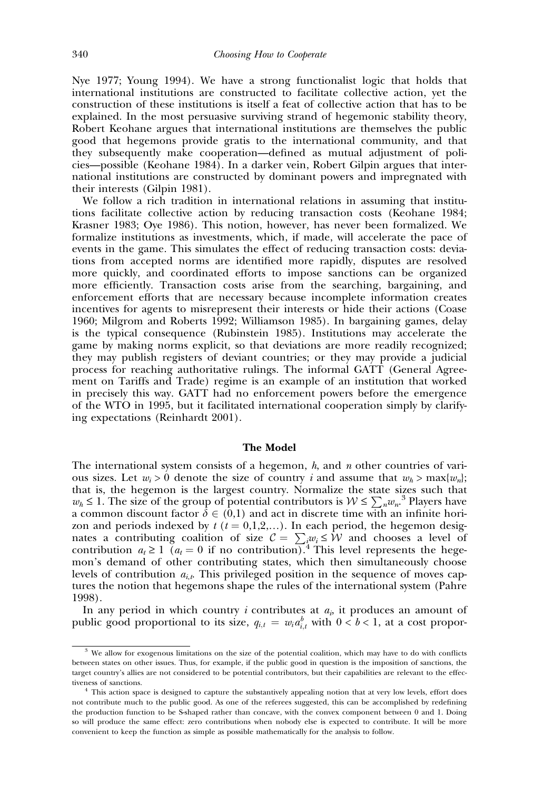Nye 1977; Young 1994). We have a strong functionalist logic that holds that international institutions are constructed to facilitate collective action, yet the construction of these institutions is itself a feat of collective action that has to be explained. In the most persuasive surviving strand of hegemonic stability theory, Robert Keohane argues that international institutions are themselves the public good that hegemons provide gratis to the international community, and that they subsequently make cooperation—defined as mutual adjustment of policies—possible (Keohane 1984). In a darker vein, Robert Gilpin argues that international institutions are constructed by dominant powers and impregnated with their interests (Gilpin 1981).

We follow a rich tradition in international relations in assuming that institutions facilitate collective action by reducing transaction costs (Keohane 1984; Krasner 1983; Oye 1986). This notion, however, has never been formalized. We formalize institutions as investments, which, if made, will accelerate the pace of events in the game. This simulates the effect of reducing transaction costs: deviations from accepted norms are identified more rapidly, disputes are resolved more quickly, and coordinated efforts to impose sanctions can be organized more efficiently. Transaction costs arise from the searching, bargaining, and enforcement efforts that are necessary because incomplete information creates incentives for agents to misrepresent their interests or hide their actions (Coase 1960; Milgrom and Roberts 1992; Williamson 1985). In bargaining games, delay is the typical consequence (Rubinstein 1985). Institutions may accelerate the game by making norms explicit, so that deviations are more readily recognized; they may publish registers of deviant countries; or they may provide a judicial process for reaching authoritative rulings. The informal GATT (General Agreement on Tariffs and Trade) regime is an example of an institution that worked in precisely this way. GATT had no enforcement powers before the emergence of the WTO in 1995, but it facilitated international cooperation simply by clarifying expectations (Reinhardt 2001).

# The Model

The international system consists of a hegemon,  $h$ , and  $n$  other countries of various sizes. Let  $w_i > 0$  denote the size of country i and assume that  $w_h > \max\{w_n\}$ ; that is, the hegemon is the largest country. Normalize the state sizes such that  $w_h \leq 1$ . The size of the group of potential contributors is  $W \leq \sum_n w_n^3$ . Players have a common discount factor  $\delta \in (0,1)$  and act in discrete time with an infinite horizon and periods indexed by  $t$  ( $t = 0,1,2,...$ ). In each period, the hegemon designates a contributing coalition of size  $C = \sum_i w_i \leq W$  and chooses a level of contribution  $a_t \geq 1$  ( $a_t = 0$  if no contribution).<sup>4</sup> This level represents the hegemon's demand of other contributing states, which then simultaneously choose levels of contribution  $a_{i,t}$ . This privileged position in the sequence of moves captures the notion that hegemons shape the rules of the international system (Pahre 1998).

In any period in which country i contributes at  $a_i$ , it produces an amount of public good proportional to its size,  $q_{i,t} = w_i a_{i,t}^b$  with  $0 < b < 1$ , at a cost propor-

<sup>&</sup>lt;sup>3</sup> We allow for exogenous limitations on the size of the potential coalition, which may have to do with conflicts between states on other issues. Thus, for example, if the public good in question is the imposition of sanctions, the target country's allies are not considered to be potential contributors, but their capabilities are relevant to the effectiveness of sanctions.

<sup>&</sup>lt;sup>4</sup> This action space is designed to capture the substantively appealing notion that at very low levels, effort does not contribute much to the public good. As one of the referees suggested, this can be accomplished by redefining the production function to be S-shaped rather than concave, with the convex component between 0 and 1. Doing so will produce the same effect: zero contributions when nobody else is expected to contribute. It will be more convenient to keep the function as simple as possible mathematically for the analysis to follow.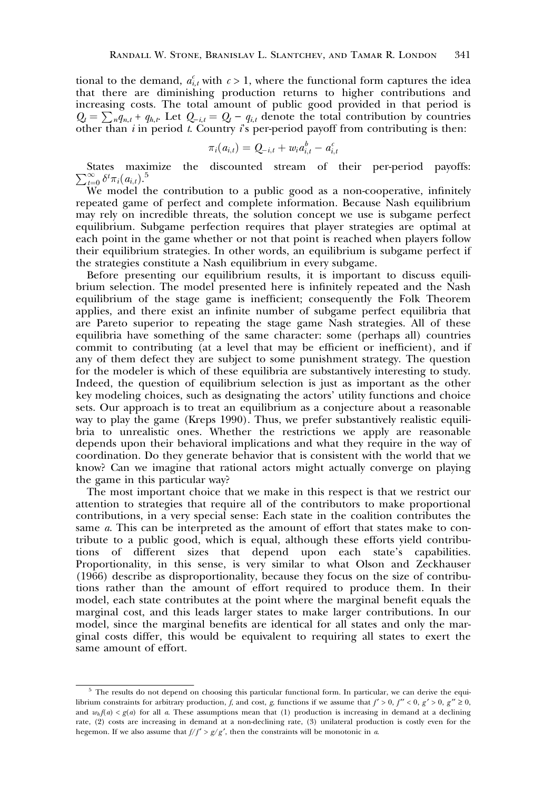tional to the demand,  $a_{i,t}^c$  with  $c > 1$ , where the functional form captures the idea that there are diminishing production returns to higher contributions and increasing costs. The total amount of public good provided in that period is  $Q_t = \sum_{n} q_{n,t} + q_{h,t}$ . Let  $Q_{i} = Q_t - q_{i,t}$  denote the total contribution by countries other than  $i$  in period  $t$ . Country  $i$ 's per-period payoff from contributing is then:

$$
\pi_i(a_{i,t}) = Q_{-i,t} + w_i a_{i,t}^b - a_{i,t}^c
$$

States maximize the discounted stream of their per-period payoffs:<br>  $\sum_{t=0}^{\infty} \delta^t \pi_i(a_{i,t})$ .<sup>5</sup>

We model the contribution to a public good as a non-cooperative, infinitely repeated game of perfect and complete information. Because Nash equilibrium may rely on incredible threats, the solution concept we use is subgame perfect equilibrium. Subgame perfection requires that player strategies are optimal at each point in the game whether or not that point is reached when players follow their equilibrium strategies. In other words, an equilibrium is subgame perfect if the strategies constitute a Nash equilibrium in every subgame.

Before presenting our equilibrium results, it is important to discuss equilibrium selection. The model presented here is infinitely repeated and the Nash equilibrium of the stage game is inefficient; consequently the Folk Theorem applies, and there exist an infinite number of subgame perfect equilibria that are Pareto superior to repeating the stage game Nash strategies. All of these equilibria have something of the same character: some (perhaps all) countries commit to contributing (at a level that may be efficient or inefficient), and if any of them defect they are subject to some punishment strategy. The question for the modeler is which of these equilibria are substantively interesting to study. Indeed, the question of equilibrium selection is just as important as the other key modeling choices, such as designating the actors' utility functions and choice sets. Our approach is to treat an equilibrium as a conjecture about a reasonable way to play the game (Kreps 1990). Thus, we prefer substantively realistic equilibria to unrealistic ones. Whether the restrictions we apply are reasonable depends upon their behavioral implications and what they require in the way of coordination. Do they generate behavior that is consistent with the world that we know? Can we imagine that rational actors might actually converge on playing the game in this particular way?

The most important choice that we make in this respect is that we restrict our attention to strategies that require all of the contributors to make proportional contributions, in a very special sense: Each state in the coalition contributes the same a. This can be interpreted as the amount of effort that states make to contribute to a public good, which is equal, although these efforts yield contributions of different sizes that depend upon each state's capabilities. Proportionality, in this sense, is very similar to what Olson and Zeckhauser (1966) describe as disproportionality, because they focus on the size of contributions rather than the amount of effort required to produce them. In their model, each state contributes at the point where the marginal benefit equals the marginal cost, and this leads larger states to make larger contributions. In our model, since the marginal benefits are identical for all states and only the marginal costs differ, this would be equivalent to requiring all states to exert the same amount of effort.

<sup>5</sup> The results do not depend on choosing this particular functional form. In particular, we can derive the equilibrium constraints for arbitrary production, f, and cost, g, functions if we assume that  $f' > 0$ ,  $f'' < 0$ ,  $g' > 0$ ,  $g'' \ge 0$ , and  $w_h f(a) < g(a)$  for all a. These assumptions mean that (1) production is increasing in demand at a declining rate, (2) costs are increasing in demand at a non-declining rate, (3) unilateral production is costly even for the hegemon. If we also assume that  $f/f' > g/g'$ , then the constraints will be monotonic in a.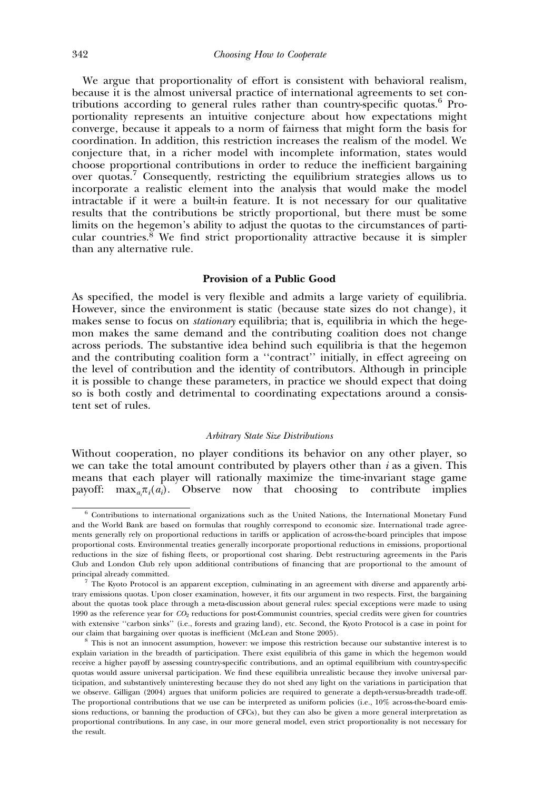We argue that proportionality of effort is consistent with behavioral realism, because it is the almost universal practice of international agreements to set contributions according to general rules rather than country-specific quotas.<sup>6</sup> Proportionality represents an intuitive conjecture about how expectations might converge, because it appeals to a norm of fairness that might form the basis for coordination. In addition, this restriction increases the realism of the model. We conjecture that, in a richer model with incomplete information, states would choose proportional contributions in order to reduce the inefficient bargaining over quotas.<sup>7</sup> Consequently, restricting the equilibrium strategies allows us to incorporate a realistic element into the analysis that would make the model intractable if it were a built-in feature. It is not necessary for our qualitative results that the contributions be strictly proportional, but there must be some limits on the hegemon's ability to adjust the quotas to the circumstances of particular countries.<sup>8</sup> We find strict proportionality attractive because it is simpler than any alternative rule.

## Provision of a Public Good

As specified, the model is very flexible and admits a large variety of equilibria. However, since the environment is static (because state sizes do not change), it makes sense to focus on *stationary* equilibria; that is, equilibria in which the hegemon makes the same demand and the contributing coalition does not change across periods. The substantive idea behind such equilibria is that the hegemon and the contributing coalition form a ''contract'' initially, in effect agreeing on the level of contribution and the identity of contributors. Although in principle it is possible to change these parameters, in practice we should expect that doing so is both costly and detrimental to coordinating expectations around a consistent set of rules.

#### Arbitrary State Size Distributions

Without cooperation, no player conditions its behavior on any other player, so we can take the total amount contributed by players other than  $i$  as a given. This means that each player will rationally maximize the time-invariant stage game payoff:  $\max_{a_i} \pi_i(a_i)$ . Observe now that choosing to contribute implies

<sup>6</sup> Contributions to international organizations such as the United Nations, the International Monetary Fund and the World Bank are based on formulas that roughly correspond to economic size. International trade agreements generally rely on proportional reductions in tariffs or application of across-the-board principles that impose proportional costs. Environmental treaties generally incorporate proportional reductions in emissions, proportional reductions in the size of fishing fleets, or proportional cost sharing. Debt restructuring agreements in the Paris Club and London Club rely upon additional contributions of financing that are proportional to the amount of principal already committed.

<sup>&</sup>lt;sup>7</sup> The Kyoto Protocol is an apparent exception, culminating in an agreement with diverse and apparently arbitrary emissions quotas. Upon closer examination, however, it fits our argument in two respects. First, the bargaining about the quotas took place through a meta-discussion about general rules: special exceptions were made to using 1990 as the reference year for  $CO_2$  reductions for post-Communist countries, special credits were given for countries with extensive ''carbon sinks'' (i.e., forests and grazing land), etc. Second, the Kyoto Protocol is a case in point for our claim that bargaining over quotas is inefficient (McLean and Stone 2005).

<sup>8</sup> This is not an innocent assumption, however: we impose this restriction because our substantive interest is to explain variation in the breadth of participation. There exist equilibria of this game in which the hegemon would receive a higher payoff by assessing country-specific contributions, and an optimal equilibrium with country-specific quotas would assure universal participation. We find these equilibria unrealistic because they involve universal participation, and substantively uninteresting because they do not shed any light on the variations in participation that we observe. Gilligan (2004) argues that uniform policies are required to generate a depth-versus-breadth trade-off. The proportional contributions that we use can be interpreted as uniform policies (i.e., 10% across-the-board emissions reductions, or banning the production of CFCs), but they can also be given a more general interpretation as proportional contributions. In any case, in our more general model, even strict proportionality is not necessary for the result.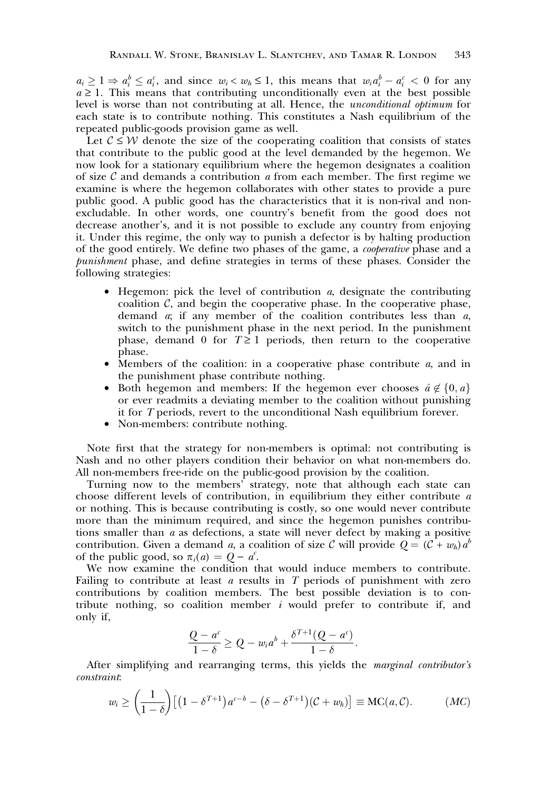$a_i \geq 1 \Rightarrow a_i^b \leq a_i^c$ , and since  $w_i < w_h \leq 1$ , this means that  $w_i a_i^b - a_i^c < 0$  for any  $a \geq 1$ . This means that contributing unconditionally even at the best possible level is worse than not contributing at all. Hence, the unconditional optimum for each state is to contribute nothing. This constitutes a Nash equilibrium of the repeated public-goods provision game as well.

Let  $C \leq W$  denote the size of the cooperating coalition that consists of states that contribute to the public good at the level demanded by the hegemon. We now look for a stationary equilibrium where the hegemon designates a coalition of size  $\mathcal C$  and demands a contribution a from each member. The first regime we examine is where the hegemon collaborates with other states to provide a pure public good. A public good has the characteristics that it is non-rival and nonexcludable. In other words, one country's benefit from the good does not decrease another's, and it is not possible to exclude any country from enjoying it. Under this regime, the only way to punish a defector is by halting production of the good entirely. We define two phases of the game, a cooperative phase and a punishment phase, and define strategies in terms of these phases. Consider the following strategies:

- Hegemon: pick the level of contribution  $a$ , designate the contributing coalition  $\mathcal{C}$ , and begin the cooperative phase. In the cooperative phase, demand  $a$ ; if any member of the coalition contributes less than  $a$ , switch to the punishment phase in the next period. In the punishment phase, demand 0 for  $T \ge 1$  periods, then return to the cooperative phase.
- Members of the coalition: in a cooperative phase contribute *a*, and in the punishment phase contribute nothing.
- Both hegemon and members: If the hegemon ever chooses  $\hat{a} \notin \{0, a\}$ or ever readmits a deviating member to the coalition without punishing it for T periods, revert to the unconditional Nash equilibrium forever.
- Non-members: contribute nothing.

Note first that the strategy for non-members is optimal: not contributing is Nash and no other players condition their behavior on what non-members do. All non-members free-ride on the public-good provision by the coalition.

Turning now to the members' strategy, note that although each state can choose different levels of contribution, in equilibrium they either contribute  $a$ or nothing. This is because contributing is costly, so one would never contribute more than the minimum required, and since the hegemon punishes contributions smaller than  $a$  as defections, a state will never defect by making a positive contribution. Given a demand a, a coalition of size C will provide  $Q = (C + w_h)a^b$ of the public good, so  $\pi_i(a) = Q - a^c$ .

We now examine the condition that would induce members to contribute. Failing to contribute at least  $a$  results in  $T$  periods of punishment with zero contributions by coalition members. The best possible deviation is to contribute nothing, so coalition member  $i$  would prefer to contribute if, and only if,

$$
\frac{Q-a^c}{1-\delta}\geq Q-w_ia^b+\frac{\delta^{T+1}(Q-a^c)}{1-\delta}.
$$

After simplifying and rearranging terms, this yields the marginal contributor's constraint:

$$
w_i \geq \left(\frac{1}{1-\delta}\right) \left[ \left(1-\delta^{T+1}\right) a^{c-b} - \left(\delta - \delta^{T+1}\right) \left(\mathcal{C} + w_h\right) \right] \equiv \mathrm{MC}(a,\mathcal{C}). \tag{MC}
$$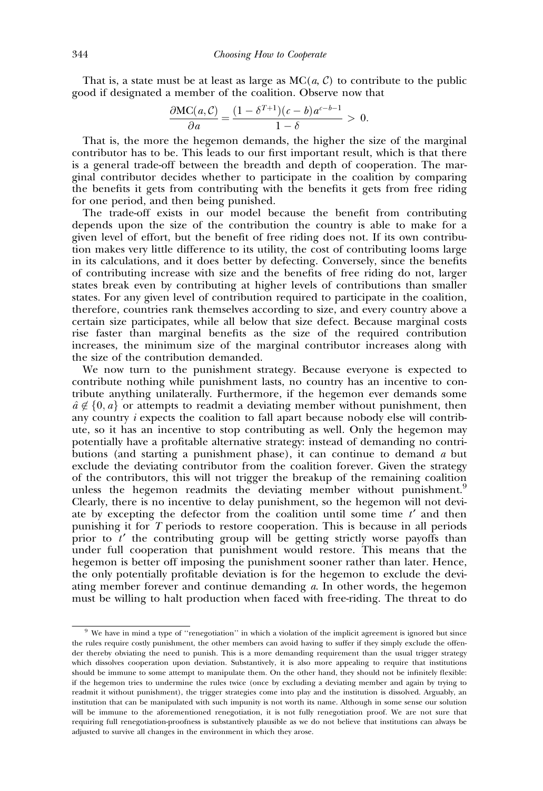That is, a state must be at least as large as  $MC(a, C)$  to contribute to the public good if designated a member of the coalition. Observe now that

$$
\frac{\partial \mathrm{MC}(a,\mathcal{C})}{\partial a} = \frac{(1 - \delta^{T+1})(c - b)a^{c-b-1}}{1 - \delta} > 0.
$$

That is, the more the hegemon demands, the higher the size of the marginal contributor has to be. This leads to our first important result, which is that there is a general trade-off between the breadth and depth of cooperation. The marginal contributor decides whether to participate in the coalition by comparing the benefits it gets from contributing with the benefits it gets from free riding for one period, and then being punished.

The trade-off exists in our model because the benefit from contributing depends upon the size of the contribution the country is able to make for a given level of effort, but the benefit of free riding does not. If its own contribution makes very little difference to its utility, the cost of contributing looms large in its calculations, and it does better by defecting. Conversely, since the benefits of contributing increase with size and the benefits of free riding do not, larger states break even by contributing at higher levels of contributions than smaller states. For any given level of contribution required to participate in the coalition, therefore, countries rank themselves according to size, and every country above a certain size participates, while all below that size defect. Because marginal costs rise faster than marginal benefits as the size of the required contribution increases, the minimum size of the marginal contributor increases along with the size of the contribution demanded.

We now turn to the punishment strategy. Because everyone is expected to contribute nothing while punishment lasts, no country has an incentive to contribute anything unilaterally. Furthermore, if the hegemon ever demands some  $a \notin \{0, a\}$  or attempts to readmit a deviating member without punishment, then any country  $i$  expects the coalition to fall apart because nobody else will contribute, so it has an incentive to stop contributing as well. Only the hegemon may potentially have a profitable alternative strategy: instead of demanding no contributions (and starting a punishment phase), it can continue to demand  $a$  but exclude the deviating contributor from the coalition forever. Given the strategy of the contributors, this will not trigger the breakup of the remaining coalition unless the hegemon readmits the deviating member without punishment.<sup>9</sup> Clearly, there is no incentive to delay punishment, so the hegemon will not deviate by excepting the defector from the coalition until some time  $t'$  and then punishing it for T periods to restore cooperation. This is because in all periods prior to  $t'$  the contributing group will be getting strictly worse payoffs than under full cooperation that punishment would restore. This means that the hegemon is better off imposing the punishment sooner rather than later. Hence, the only potentially profitable deviation is for the hegemon to exclude the deviating member forever and continue demanding a. In other words, the hegemon must be willing to halt production when faced with free-riding. The threat to do

<sup>9</sup> We have in mind a type of ''renegotiation'' in which a violation of the implicit agreement is ignored but since the rules require costly punishment, the other members can avoid having to suffer if they simply exclude the offender thereby obviating the need to punish. This is a more demanding requirement than the usual trigger strategy which dissolves cooperation upon deviation. Substantively, it is also more appealing to require that institutions should be immune to some attempt to manipulate them. On the other hand, they should not be infinitely flexible: if the hegemon tries to undermine the rules twice (once by excluding a deviating member and again by trying to readmit it without punishment), the trigger strategies come into play and the institution is dissolved. Arguably, an institution that can be manipulated with such impunity is not worth its name. Although in some sense our solution will be immune to the aforementioned renegotiation, it is not fully renegotiation proof. We are not sure that requiring full renegotiation-proofness is substantively plausible as we do not believe that institutions can always be adjusted to survive all changes in the environment in which they arose.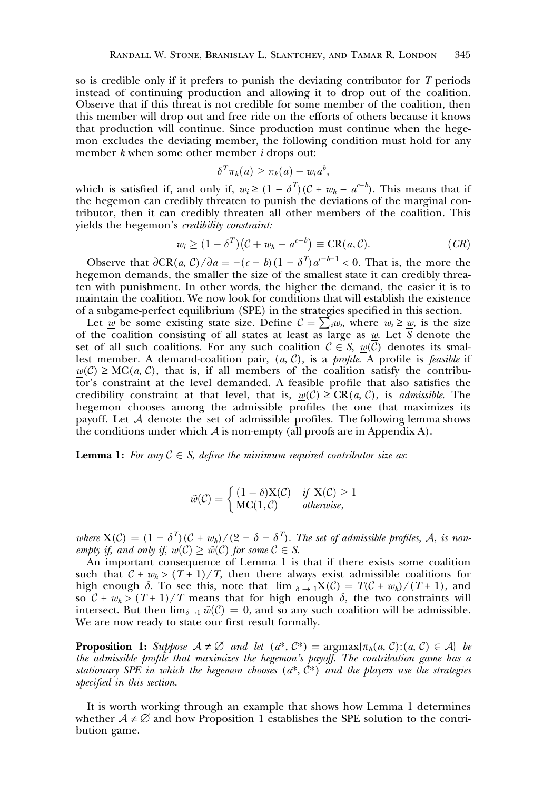so is credible only if it prefers to punish the deviating contributor for T periods instead of continuing production and allowing it to drop out of the coalition. Observe that if this threat is not credible for some member of the coalition, then this member will drop out and free ride on the efforts of others because it knows that production will continue. Since production must continue when the hegemon excludes the deviating member, the following condition must hold for any member k when some other member i drops out:

$$
\delta^T \pi_k(a) \geq \pi_k(a) - w_i a^b,
$$

which is satisfied if, and only if,  $w_i \ge (1 - \delta^T)(C + w_h - a^{c-b})$ . This means that if the hegemon can credibly threaten to punish the deviations of the marginal contributor, then it can credibly threaten all other members of the coalition. This yields the hegemon's credibility constraint:

$$
w_i \ge (1 - \delta^T) (\mathcal{C} + w_h - a^{c-b}) \equiv \text{CR}(a, \mathcal{C}). \tag{CR}
$$

Observe that  $\frac{\partial CR(a, C)}{\partial a} = -(c - b)(1 - \delta^T)a^{c-b-1} < 0$ . That is, the more the hegemon demands, the smaller the size of the smallest state it can credibly threaten with punishment. In other words, the higher the demand, the easier it is to maintain the coalition. We now look for conditions that will establish the existence of a subgame-perfect equilibrium (SPE) in the strategies specified in this section.

Let w be some existing state size. Define  $C = \sum_i w_i$ , where  $w_i \geq w_i$ , is the size of the coalition consisting of all states at least as large as w. Let  $\overline{S}$  denote the set of all such coalitions. For any such coalition  $C \in S$ ,  $w(\overline{C})$  denotes its smallest member. A demand-coalition pair,  $(a, C)$ , is a *profile*. A profile is *feasible* if  $w(C) \geq MC(a, C)$ , that is, if all members of the coalition satisfy the contributor's constraint at the level demanded. A feasible profile that also satisfies the credibility constraint at that level, that is,  $w(C) \geq CR(a, C)$ , is *admissible*. The hegemon chooses among the admissible profiles the one that maximizes its payoff. Let  $A$  denote the set of admissible profiles. The following lemma shows the conditions under which  $A$  is non-empty (all proofs are in Appendix A).

**Lemma 1:** For any  $C \in S$ , define the minimum required contributor size as:

$$
\tilde{w}(\mathcal{C}) = \begin{cases} (1 - \delta)X(\mathcal{C}) & \text{if } X(\mathcal{C}) \ge 1\\ \text{MC}(1, \mathcal{C}) & \text{otherwise,} \end{cases}
$$

where  $X(\mathcal{C}) = (1 - \delta^T)(\mathcal{C} + w_h)/(2 - \delta - \delta^T)$ . The set of admissible profiles, A, is nonempty if, and only if,  $\underline{w}(\mathcal{C}) \geq \underline{\tilde{w}}(\mathcal{C})$  for some  $\mathcal{C} \in S$ .

An important consequence of Lemma 1 is that if there exists some coalition such that  $C + w_h > (T + 1)/T$ , then there always exist admissible coalitions for high enough  $\delta$ . To see this, note that  $\lim_{\delta \to 1} X(\mathcal{C}) = T(\mathcal{C} + w_h)/(T + 1)$ , and so  $C + w_h > (T + 1)/T$  means that for high enough  $\delta$ , the two constraints will intersect. But then  $\lim_{\delta \to 1} \tilde{w}(\mathcal{C}) = 0$ , and so any such coalition will be admissible. We are now ready to state our first result formally.

**Proposition 1:** Suppose  $A \neq \emptyset$  and let  $(a^*, C^*) = \text{argmax}{\pi_h(a, C): (a, C) \in \mathcal{A}}$  be the admissible profile that maximizes the hegemon's payoff. The contribution game has a stationary SPE in which the hegemon chooses  $(a^*, C^*)$  and the players use the strategies specified in this section.

It is worth working through an example that shows how Lemma 1 determines whether  $A \neq \emptyset$  and how Proposition 1 establishes the SPE solution to the contribution game.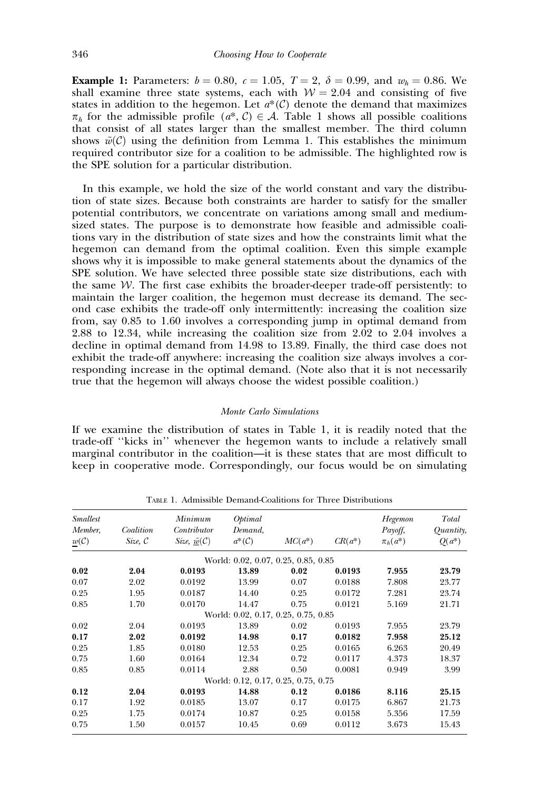**Example 1:** Parameters:  $b = 0.80$ ,  $c = 1.05$ ,  $T = 2$ ,  $\delta = 0.99$ , and  $w_h = 0.86$ . We shall examine three state systems, each with  $W = 2.04$  and consisting of five states in addition to the hegemon. Let  $a^*(\mathcal{C})$  denote the demand that maximizes  $\pi_h$  for the admissible profile  $(a^*, \mathcal{C}) \in \mathcal{A}$ . Table 1 shows all possible coalitions that consist of all states larger than the smallest member. The third column shows  $\tilde{w}(\mathcal{C})$  using the definition from Lemma 1. This establishes the minimum required contributor size for a coalition to be admissible. The highlighted row is the SPE solution for a particular distribution.

In this example, we hold the size of the world constant and vary the distribution of state sizes. Because both constraints are harder to satisfy for the smaller potential contributors, we concentrate on variations among small and mediumsized states. The purpose is to demonstrate how feasible and admissible coalitions vary in the distribution of state sizes and how the constraints limit what the hegemon can demand from the optimal coalition. Even this simple example shows why it is impossible to make general statements about the dynamics of the SPE solution. We have selected three possible state size distributions, each with the same  $W$ . The first case exhibits the broader-deeper trade-off persistently: to maintain the larger coalition, the hegemon must decrease its demand. The second case exhibits the trade-off only intermittently: increasing the coalition size from, say 0.85 to 1.60 involves a corresponding jump in optimal demand from 2.88 to 12.34, while increasing the coalition size from 2.02 to 2.04 involves a decline in optimal demand from 14.98 to 13.89. Finally, the third case does not exhibit the trade-off anywhere: increasing the coalition size always involves a corresponding increase in the optimal demand. (Note also that it is not necessarily true that the hegemon will always choose the widest possible coalition.)

### Monte Carlo Simulations

If we examine the distribution of states in Table 1, it is readily noted that the trade-off ''kicks in'' whenever the hegemon wants to include a relatively small marginal contributor in the coalition—it is these states that are most difficult to keep in cooperative mode. Correspondingly, our focus would be on simulating

| <i>Smallest</i><br>Member,<br>$\underline{w}(\mathcal{C})$ | Coalition<br>Size, $C$ | Minimum<br>Contributor<br>Size, $\tilde{w}(\mathcal{C})$ | Optimal<br>Demand,<br>$a^*(\mathcal{C})$ | $MC(a^*)$ | $CR(a^*)$ | Hegemon<br>Payoff,<br>$\pi_h(a^*)$ | Total<br>Quantity,<br>$Q(a^*)$ |
|------------------------------------------------------------|------------------------|----------------------------------------------------------|------------------------------------------|-----------|-----------|------------------------------------|--------------------------------|
|                                                            |                        |                                                          | World: 0.02, 0.07, 0.25, 0.85, 0.85      |           |           |                                    |                                |
| 0.02                                                       | 2.04                   | 0.0193                                                   | 13.89                                    | 0.02      | 0.0193    | 7.955                              | 23.79                          |
| 0.07                                                       | 2.02                   | 0.0192                                                   | 13.99                                    | 0.07      | 0.0188    | 7.808                              | 23.77                          |
| 0.25                                                       | 1.95                   | 0.0187                                                   | 14.40                                    | 0.25      | 0.0172    | 7.281                              | 23.74                          |
| 0.85                                                       | 1.70                   | 0.0170                                                   | 14.47                                    | 0.75      | 0.0121    | 5.169                              | 21.71                          |
|                                                            |                        |                                                          | World: 0.02, 0.17, 0.25, 0.75, 0.85      |           |           |                                    |                                |
| 0.02                                                       | 2.04                   | 0.0193                                                   | 13.89                                    | 0.02      | 0.0193    | 7.955                              | 23.79                          |
| 0.17                                                       | 2.02                   | 0.0192                                                   | 14.98                                    | 0.17      | 0.0182    | 7.958                              | 25.12                          |
| 0.25                                                       | 1.85                   | 0.0180                                                   | 12.53                                    | 0.25      | 0.0165    | 6.263                              | 20.49                          |
| 0.75                                                       | 1.60                   | 0.0164                                                   | 12.34                                    | 0.72      | 0.0117    | 4.373                              | 18.37                          |
| 0.85                                                       | 0.85                   | 0.0114                                                   | 2.88                                     | 0.50      | 0.0081    | 0.949                              | 3.99                           |
|                                                            |                        |                                                          | World: 0.12, 0.17, 0.25, 0.75, 0.75      |           |           |                                    |                                |
| 0.12                                                       | 2.04                   | 0.0193                                                   | 14.88                                    | 0.12      | 0.0186    | 8.116                              | 25.15                          |
| 0.17                                                       | 1.92                   | 0.0185                                                   | 13.07                                    | 0.17      | 0.0175    | 6.867                              | 21.73                          |
| 0.25                                                       | 1.75                   | 0.0174                                                   | 10.87                                    | 0.25      | 0.0158    | 5.356                              | 17.59                          |
| 0.75                                                       | 1.50                   | 0.0157                                                   | 10.45                                    | 0.69      | 0.0112    | 3.673                              | 15.43                          |

TABLE 1. Admissible Demand-Coalitions for Three Distributions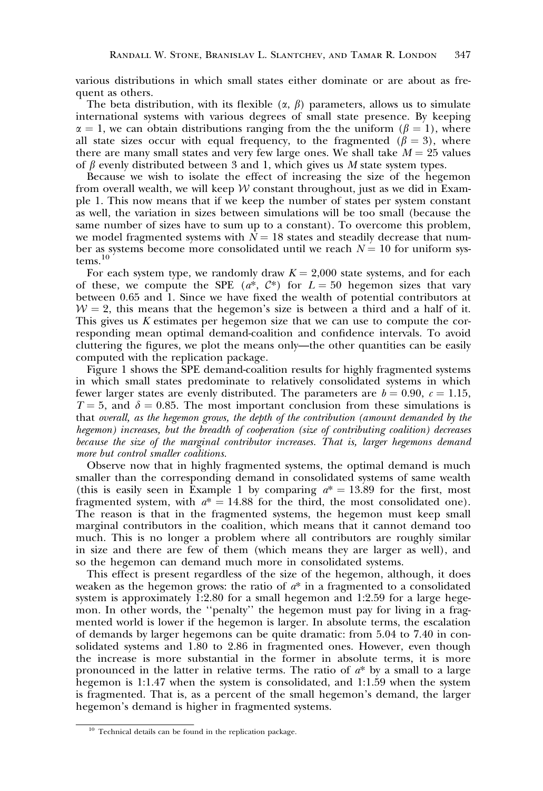various distributions in which small states either dominate or are about as frequent as others.

The beta distribution, with its flexible  $(\alpha, \beta)$  parameters, allows us to simulate international systems with various degrees of small state presence. By keeping  $\alpha = 1$ , we can obtain distributions ranging from the the uniform ( $\beta = 1$ ), where all state sizes occur with equal frequency, to the fragmented  $(\beta = 3)$ , where there are many small states and very few large ones. We shall take  $M = 25$  values of  $\beta$  evenly distributed between 3 and 1, which gives us M state system types.

Because we wish to isolate the effect of increasing the size of the hegemon from overall wealth, we will keep  $W$  constant throughout, just as we did in Example 1. This now means that if we keep the number of states per system constant as well, the variation in sizes between simulations will be too small (because the same number of sizes have to sum up to a constant). To overcome this problem, we model fragmented systems with  $N = 18$  states and steadily decrease that number as systems become more consolidated until we reach  $N = 10$  for uniform systems.<sup>10</sup>

For each system type, we randomly draw  $K = 2,000$  state systems, and for each of these, we compute the SPE ( $a^*, C^*$ ) for  $L = 50$  hegemon sizes that vary between 0.65 and 1. Since we have fixed the wealth of potential contributors at  $W = 2$ , this means that the hegemon's size is between a third and a half of it. This gives us K estimates per hegemon size that we can use to compute the corresponding mean optimal demand-coalition and confidence intervals. To avoid cluttering the figures, we plot the means only—the other quantities can be easily computed with the replication package.

Figure 1 shows the SPE demand-coalition results for highly fragmented systems in which small states predominate to relatively consolidated systems in which fewer larger states are evenly distributed. The parameters are  $b = 0.90, c = 1.15$ ,  $T = 5$ , and  $\delta = 0.85$ . The most important conclusion from these simulations is that overall, as the hegemon grows, the depth of the contribution (amount demanded by the hegemon) increases, but the breadth of cooperation (size of contributing coalition) decreases because the size of the marginal contributor increases. That is, larger hegemons demand more but control smaller coalitions.

Observe now that in highly fragmented systems, the optimal demand is much smaller than the corresponding demand in consolidated systems of same wealth (this is easily seen in Example 1 by comparing  $a^* = 13.89$  for the first, most fragmented system, with  $a^* = 14.88$  for the third, the most consolidated one). The reason is that in the fragmented systems, the hegemon must keep small marginal contributors in the coalition, which means that it cannot demand too much. This is no longer a problem where all contributors are roughly similar in size and there are few of them (which means they are larger as well), and so the hegemon can demand much more in consolidated systems.

This effect is present regardless of the size of the hegemon, although, it does weaken as the hegemon grows: the ratio of  $a^*$  in a fragmented to a consolidated system is approximately 1:2.80 for a small hegemon and 1:2.59 for a large hegemon. In other words, the ''penalty'' the hegemon must pay for living in a fragmented world is lower if the hegemon is larger. In absolute terms, the escalation of demands by larger hegemons can be quite dramatic: from 5.04 to 7.40 in consolidated systems and 1.80 to 2.86 in fragmented ones. However, even though the increase is more substantial in the former in absolute terms, it is more pronounced in the latter in relative terms. The ratio of  $a^*$  by a small to a large hegemon is 1:1.47 when the system is consolidated, and 1:1.59 when the system is fragmented. That is, as a percent of the small hegemon's demand, the larger hegemon's demand is higher in fragmented systems.

<sup>10</sup> Technical details can be found in the replication package.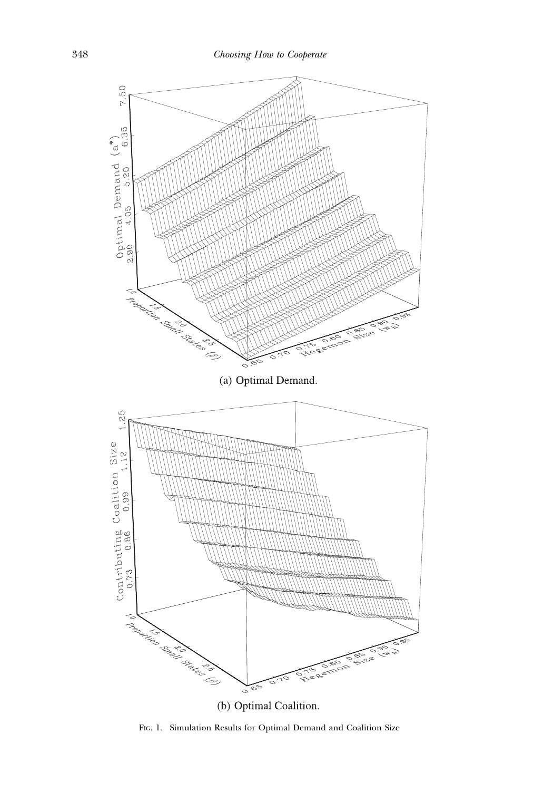

(b) Optimal Coalition.

FIG. 1. Simulation Results for Optimal Demand and Coalition Size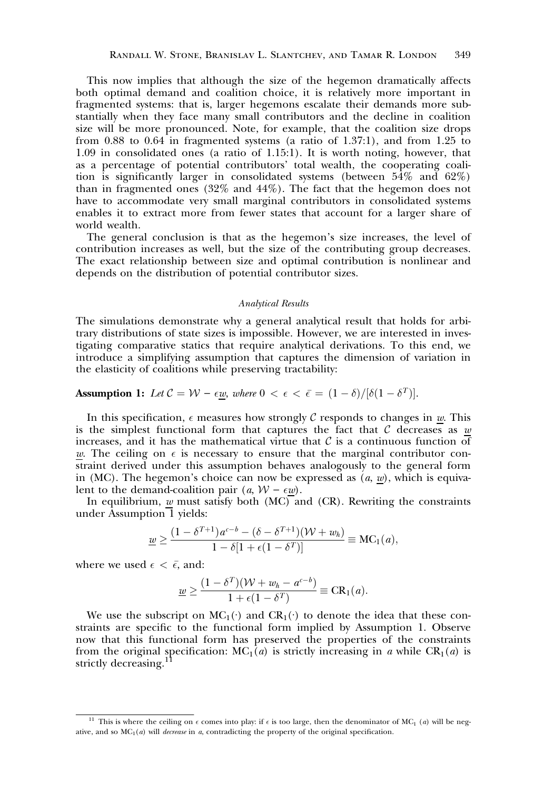This now implies that although the size of the hegemon dramatically affects both optimal demand and coalition choice, it is relatively more important in fragmented systems: that is, larger hegemons escalate their demands more substantially when they face many small contributors and the decline in coalition size will be more pronounced. Note, for example, that the coalition size drops from 0.88 to 0.64 in fragmented systems (a ratio of 1.37:1), and from 1.25 to 1.09 in consolidated ones (a ratio of 1.15:1). It is worth noting, however, that as a percentage of potential contributors' total wealth, the cooperating coalition is significantly larger in consolidated systems (between 54% and 62%) than in fragmented ones (32% and 44%). The fact that the hegemon does not have to accommodate very small marginal contributors in consolidated systems enables it to extract more from fewer states that account for a larger share of world wealth.

The general conclusion is that as the hegemon's size increases, the level of contribution increases as well, but the size of the contributing group decreases. The exact relationship between size and optimal contribution is nonlinear and depends on the distribution of potential contributor sizes.

#### Analytical Results

The simulations demonstrate why a general analytical result that holds for arbitrary distributions of state sizes is impossible. However, we are interested in investigating comparative statics that require analytical derivations. To this end, we introduce a simplifying assumption that captures the dimension of variation in the elasticity of coalitions while preserving tractability:

# **Assumption 1:** Let  $C = W - \epsilon w$ , where  $0 < \epsilon < \bar{\epsilon} = (1 - \delta)/[\delta(1 - \delta^T)].$

In this specification,  $\epsilon$  measures how strongly C responds to changes in w. This is the simplest functional form that captures the fact that C decreases as  $\omega$ increases, and it has the mathematical virtue that  $\mathcal C$  is a continuous function of w. The ceiling on  $\epsilon$  is necessary to ensure that the marginal contributor constraint derived under this assumption behaves analogously to the general form in (MC). The hegemon's choice can now be expressed as  $(a, w)$ , which is equivalent to the demand-coalition pair  $(a, W - \epsilon w)$ .

In equilibrium,  $\omega$  must satisfy both (MC) and (CR). Rewriting the constraints under Assumption 1 yields:

$$
\underline{w} \geq \frac{(1 - \delta^{T+1})a^{c-b} - (\delta - \delta^{T+1})(\mathcal{W} + w_h)}{1 - \delta[1 + \epsilon(1 - \delta^{T})]} \equiv \mathrm{MC}_1(a),
$$

where we used  $\epsilon < \bar{\epsilon}$ , and:

$$
\underline{w} \ge \frac{(1 - \delta^T)(\mathcal{W} + w_h - a^{c-b})}{1 + \epsilon(1 - \delta^T)} \equiv \text{CR}_1(a).
$$

We use the subscript on  $MC_1(\cdot)$  and  $CR_1(\cdot)$  to denote the idea that these constraints are specific to the functional form implied by Assumption 1. Observe now that this functional form has preserved the properties of the constraints from the original specification:  $MC_1(a)$  is strictly increasing in a while  $CR_1(a)$  is strictly decreasing. $^{11}$ 

<sup>&</sup>lt;sup>11</sup> This is where the ceiling on  $\epsilon$  comes into play: if  $\epsilon$  is too large, then the denominator of MC<sub>1</sub> (a) will be negative, and so  $MC_1(a)$  will *decrease* in a, contradicting the property of the original specification.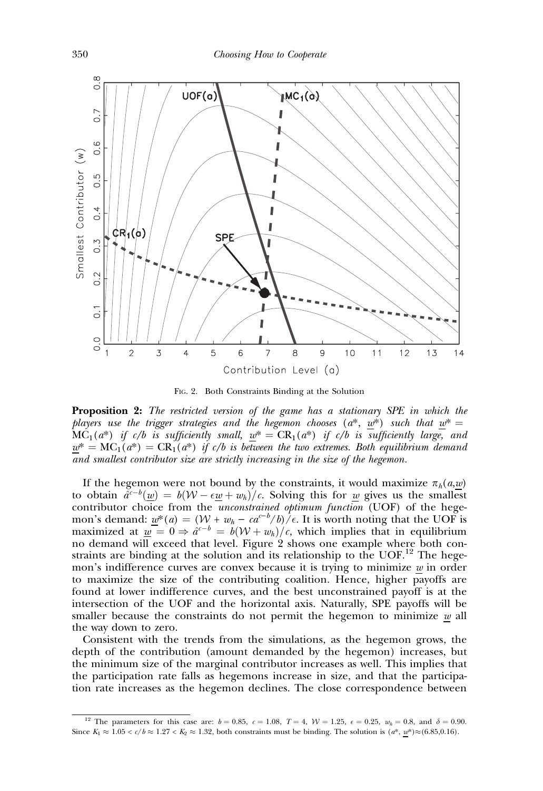

FIG. 2. Both Constraints Binding at the Solution

**Proposition 2:** The restricted version of the game has a stationary SPE in which the players use the trigger strategies and the hegemon chooses  $(a^*, \underline{w}^*)$  such that  $\underline{w}^* =$  $MC_1(a^*)$  if c/b is sufficiently small,  $w^* = CR_1(a^*)$  if c/b is sufficiently large, and  $\underline{w}^* = \text{MC}_1(a^*) = \text{CR}_1(a^*)$  if c/b is between the two extremes. Both equilibrium demand and smallest contributor size are strictly increasing in the size of the hegemon.

If the hegemon were not bound by the constraints, it would maximize  $\pi_h(a,w)$ to obtain  $\tilde{a}^{\epsilon-b}(\underline{w}) = b(\mathcal{W}-\epsilon \underline{w}+w_h)/c$ . Solving this for <u>w</u> gives us the smallest contributor choice from the *unconstrained optimum function* (UOF) of the hegemon's demand:  $\underline{w}^*(a) = (\mathcal{W} + w_h - ca^{c-b}/b)/\epsilon$ . It is worth noting that the UOF is maximized at  $\overline{w} = 0 \Rightarrow \hat{a}^{c-b} = b(\mathcal{W} + w_h)/c$ , which implies that in equilibrium no demand will exceed that level. Figure 2 shows one example where both constraints are binding at the solution and its relationship to the UOF.<sup>12</sup> The hegemon's indifference curves are convex because it is trying to minimize  $w$  in order to maximize the size of the contributing coalition. Hence, higher payoffs are found at lower indifference curves, and the best unconstrained payoff is at the intersection of the UOF and the horizontal axis. Naturally, SPE payoffs will be smaller because the constraints do not permit the hegemon to minimize  $w$  all the way down to zero.

Consistent with the trends from the simulations, as the hegemon grows, the depth of the contribution (amount demanded by the hegemon) increases, but the minimum size of the marginal contributor increases as well. This implies that the participation rate falls as hegemons increase in size, and that the participation rate increases as the hegemon declines. The close correspondence between

<sup>&</sup>lt;sup>12</sup> The parameters for this case are:  $b = 0.85$ ,  $c = 1.08$ ,  $T = 4$ ,  $\mathcal{W} = 1.25$ ,  $\epsilon = 0.25$ ,  $w_h = 0.8$ , and  $\delta = 0.90$ . Since  $K_1 \approx 1.05 < \frac{\epsilon}{b} \approx 1.27 < K_2 \approx 1.32$ , both constraints must be binding. The solution is  $(a^*, w^*) \approx (6.85,0.16)$ .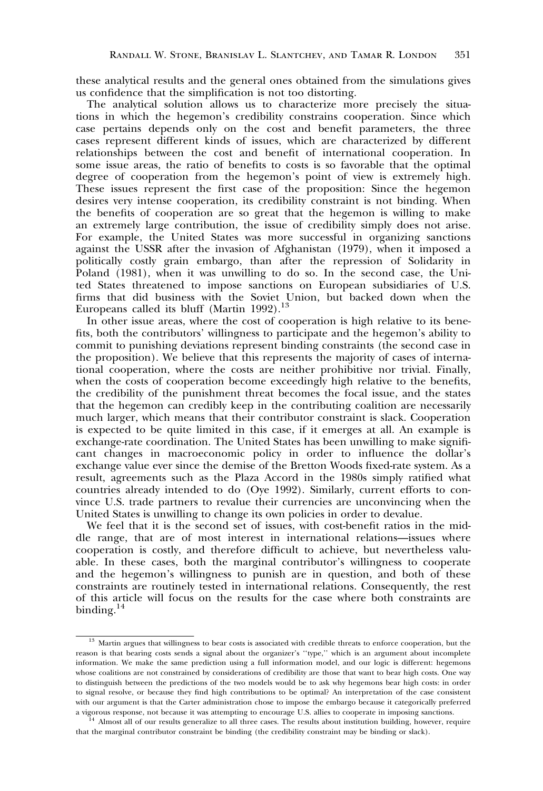these analytical results and the general ones obtained from the simulations gives us confidence that the simplification is not too distorting.

The analytical solution allows us to characterize more precisely the situations in which the hegemon's credibility constrains cooperation. Since which case pertains depends only on the cost and benefit parameters, the three cases represent different kinds of issues, which are characterized by different relationships between the cost and benefit of international cooperation. In some issue areas, the ratio of benefits to costs is so favorable that the optimal degree of cooperation from the hegemon's point of view is extremely high. These issues represent the first case of the proposition: Since the hegemon desires very intense cooperation, its credibility constraint is not binding. When the benefits of cooperation are so great that the hegemon is willing to make an extremely large contribution, the issue of credibility simply does not arise. For example, the United States was more successful in organizing sanctions against the USSR after the invasion of Afghanistan (1979), when it imposed a politically costly grain embargo, than after the repression of Solidarity in Poland (1981), when it was unwilling to do so. In the second case, the United States threatened to impose sanctions on European subsidiaries of U.S. firms that did business with the Soviet Union, but backed down when the Europeans called its bluff (Martin 1992). $^{13}$ 

In other issue areas, where the cost of cooperation is high relative to its benefits, both the contributors' willingness to participate and the hegemon's ability to commit to punishing deviations represent binding constraints (the second case in the proposition). We believe that this represents the majority of cases of international cooperation, where the costs are neither prohibitive nor trivial. Finally, when the costs of cooperation become exceedingly high relative to the benefits, the credibility of the punishment threat becomes the focal issue, and the states that the hegemon can credibly keep in the contributing coalition are necessarily much larger, which means that their contributor constraint is slack. Cooperation is expected to be quite limited in this case, if it emerges at all. An example is exchange-rate coordination. The United States has been unwilling to make significant changes in macroeconomic policy in order to influence the dollar's exchange value ever since the demise of the Bretton Woods fixed-rate system. As a result, agreements such as the Plaza Accord in the 1980s simply ratified what countries already intended to do (Oye 1992). Similarly, current efforts to convince U.S. trade partners to revalue their currencies are unconvincing when the United States is unwilling to change its own policies in order to devalue.

We feel that it is the second set of issues, with cost-benefit ratios in the middle range, that are of most interest in international relations—issues where cooperation is costly, and therefore difficult to achieve, but nevertheless valuable. In these cases, both the marginal contributor's willingness to cooperate and the hegemon's willingness to punish are in question, and both of these constraints are routinely tested in international relations. Consequently, the rest of this article will focus on the results for the case where both constraints are binding. $14$ 

<sup>&</sup>lt;sup>13</sup> Martin argues that willingness to bear costs is associated with credible threats to enforce cooperation, but the reason is that bearing costs sends a signal about the organizer's ''type,'' which is an argument about incomplete information. We make the same prediction using a full information model, and our logic is different: hegemons whose coalitions are not constrained by considerations of credibility are those that want to bear high costs. One way to distinguish between the predictions of the two models would be to ask why hegemons bear high costs: in order to signal resolve, or because they find high contributions to be optimal? An interpretation of the case consistent with our argument is that the Carter administration chose to impose the embargo because it categorically preferred a vigorous response, not because it was attempting to encourage U.S. allies to cooperate in imposing sanctions.

 $14$  Almost all of our results generalize to all three cases. The results about institution building, however, require that the marginal contributor constraint be binding (the credibility constraint may be binding or slack).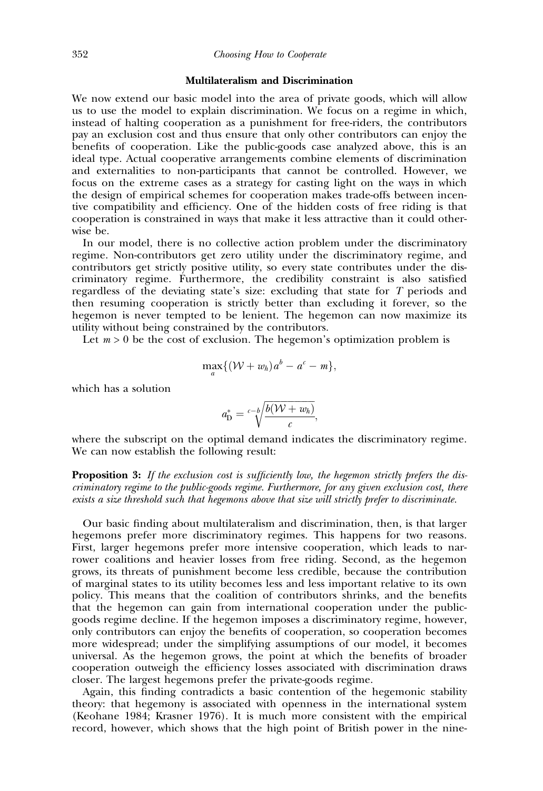## Multilateralism and Discrimination

We now extend our basic model into the area of private goods, which will allow us to use the model to explain discrimination. We focus on a regime in which, instead of halting cooperation as a punishment for free-riders, the contributors pay an exclusion cost and thus ensure that only other contributors can enjoy the benefits of cooperation. Like the public-goods case analyzed above, this is an ideal type. Actual cooperative arrangements combine elements of discrimination and externalities to non-participants that cannot be controlled. However, we focus on the extreme cases as a strategy for casting light on the ways in which the design of empirical schemes for cooperation makes trade-offs between incentive compatibility and efficiency. One of the hidden costs of free riding is that cooperation is constrained in ways that make it less attractive than it could otherwise be.

In our model, there is no collective action problem under the discriminatory regime. Non-contributors get zero utility under the discriminatory regime, and contributors get strictly positive utility, so every state contributes under the discriminatory regime. Furthermore, the credibility constraint is also satisfied regardless of the deviating state's size: excluding that state for T periods and then resuming cooperation is strictly better than excluding it forever, so the hegemon is never tempted to be lenient. The hegemon can now maximize its utility without being constrained by the contributors.

Let  $m > 0$  be the cost of exclusion. The hegemon's optimization problem is

$$
\max_a\{(\mathcal{W}+w_h)a^b-a^c-m\},\
$$

which has a solution

$$
a_{\rm D}^* = \sqrt[c-b]{\frac{b(\mathcal{W} + w_h)}{c}},
$$

where the subscript on the optimal demand indicates the discriminatory regime. We can now establish the following result:

**Proposition 3:** If the exclusion cost is sufficiently low, the hegemon strictly prefers the discriminatory regime to the public-goods regime. Furthermore, for any given exclusion cost, there exists a size threshold such that hegemons above that size will strictly prefer to discriminate.

Our basic finding about multilateralism and discrimination, then, is that larger hegemons prefer more discriminatory regimes. This happens for two reasons. First, larger hegemons prefer more intensive cooperation, which leads to narrower coalitions and heavier losses from free riding. Second, as the hegemon grows, its threats of punishment become less credible, because the contribution of marginal states to its utility becomes less and less important relative to its own policy. This means that the coalition of contributors shrinks, and the benefits that the hegemon can gain from international cooperation under the publicgoods regime decline. If the hegemon imposes a discriminatory regime, however, only contributors can enjoy the benefits of cooperation, so cooperation becomes more widespread; under the simplifying assumptions of our model, it becomes universal. As the hegemon grows, the point at which the benefits of broader cooperation outweigh the efficiency losses associated with discrimination draws closer. The largest hegemons prefer the private-goods regime.

Again, this finding contradicts a basic contention of the hegemonic stability theory: that hegemony is associated with openness in the international system (Keohane 1984; Krasner 1976). It is much more consistent with the empirical record, however, which shows that the high point of British power in the nine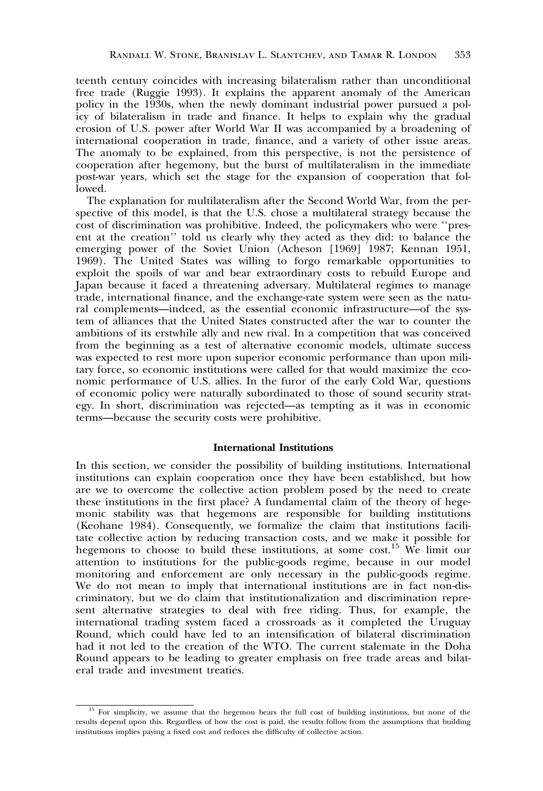teenth century coincides with increasing bilateralism rather than unconditional free trade (Ruggie 1993). It explains the apparent anomaly of the American policy in the 1930s, when the newly dominant industrial power pursued a policy of bilateralism in trade and finance. It helps to explain why the gradual erosion of U.S. power after World War II was accompanied by a broadening of international cooperation in trade, finance, and a variety of other issue areas. The anomaly to be explained, from this perspective, is not the persistence of cooperation after hegemony, but the burst of multilateralism in the immediate post-war years, which set the stage for the expansion of cooperation that followed.

The explanation for multilateralism after the Second World War, from the perspective of this model, is that the U.S. chose a multilateral strategy because the cost of discrimination was prohibitive. Indeed, the policymakers who were ''present at the creation'' told us clearly why they acted as they did: to balance the emerging power of the Soviet Union (Acheson [1969] 1987; Kennan 1951, 1969). The United States was willing to forgo remarkable opportunities to exploit the spoils of war and bear extraordinary costs to rebuild Europe and Japan because it faced a threatening adversary. Multilateral regimes to manage trade, international finance, and the exchange-rate system were seen as the natural complements—indeed, as the essential economic infrastructure—of the system of alliances that the United States constructed after the war to counter the ambitions of its erstwhile ally and new rival. In a competition that was conceived from the beginning as a test of alternative economic models, ultimate success was expected to rest more upon superior economic performance than upon military force, so economic institutions were called for that would maximize the economic performance of U.S. allies. In the furor of the early Cold War, questions of economic policy were naturally subordinated to those of sound security strategy. In short, discrimination was rejected—as tempting as it was in economic terms—because the security costs were prohibitive.

# International Institutions

In this section, we consider the possibility of building institutions. International institutions can explain cooperation once they have been established, but how are we to overcome the collective action problem posed by the need to create these institutions in the first place? A fundamental claim of the theory of hegemonic stability was that hegemons are responsible for building institutions (Keohane 1984). Consequently, we formalize the claim that institutions facilitate collective action by reducing transaction costs, and we make it possible for hegemons to choose to build these institutions, at some cost.<sup>15</sup> We limit our attention to institutions for the public-goods regime, because in our model monitoring and enforcement are only necessary in the public-goods regime. We do not mean to imply that international institutions are in fact non-discriminatory, but we do claim that institutionalization and discrimination represent alternative strategies to deal with free riding. Thus, for example, the international trading system faced a crossroads as it completed the Uruguay Round, which could have led to an intensification of bilateral discrimination had it not led to the creation of the WTO. The current stalemate in the Doha Round appears to be leading to greater emphasis on free trade areas and bilateral trade and investment treaties.

<sup>&</sup>lt;sup>15</sup> For simplicity, we assume that the hegemon bears the full cost of building institutions, but none of the results depend upon this. Regardless of how the cost is paid, the results follow from the assumptions that building institutions implies paying a fixed cost and reduces the difficulty of collective action.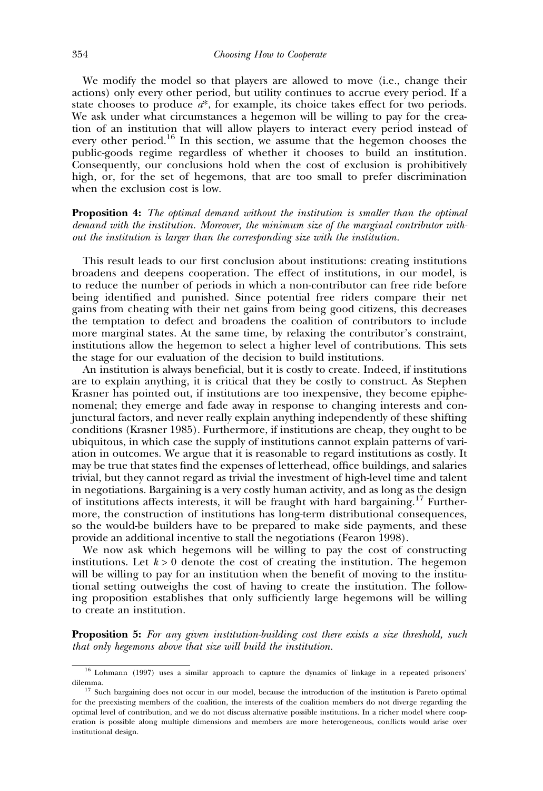We modify the model so that players are allowed to move (i.e., change their actions) only every other period, but utility continues to accrue every period. If a state chooses to produce  $a^*$ , for example, its choice takes effect for two periods. We ask under what circumstances a hegemon will be willing to pay for the creation of an institution that will allow players to interact every period instead of every other period.<sup>16</sup> In this section, we assume that the hegemon chooses the public-goods regime regardless of whether it chooses to build an institution. Consequently, our conclusions hold when the cost of exclusion is prohibitively high, or, for the set of hegemons, that are too small to prefer discrimination when the exclusion cost is low.

**Proposition 4:** The optimal demand without the institution is smaller than the optimal demand with the institution. Moreover, the minimum size of the marginal contributor without the institution is larger than the corresponding size with the institution.

This result leads to our first conclusion about institutions: creating institutions broadens and deepens cooperation. The effect of institutions, in our model, is to reduce the number of periods in which a non-contributor can free ride before being identified and punished. Since potential free riders compare their net gains from cheating with their net gains from being good citizens, this decreases the temptation to defect and broadens the coalition of contributors to include more marginal states. At the same time, by relaxing the contributor's constraint, institutions allow the hegemon to select a higher level of contributions. This sets the stage for our evaluation of the decision to build institutions.

An institution is always beneficial, but it is costly to create. Indeed, if institutions are to explain anything, it is critical that they be costly to construct. As Stephen Krasner has pointed out, if institutions are too inexpensive, they become epiphenomenal; they emerge and fade away in response to changing interests and conjunctural factors, and never really explain anything independently of these shifting conditions (Krasner 1985). Furthermore, if institutions are cheap, they ought to be ubiquitous, in which case the supply of institutions cannot explain patterns of variation in outcomes. We argue that it is reasonable to regard institutions as costly. It may be true that states find the expenses of letterhead, office buildings, and salaries trivial, but they cannot regard as trivial the investment of high-level time and talent in negotiations. Bargaining is a very costly human activity, and as long as the design of institutions affects interests, it will be fraught with hard bargaining.<sup>17</sup> Furthermore, the construction of institutions has long-term distributional consequences, so the would-be builders have to be prepared to make side payments, and these provide an additional incentive to stall the negotiations (Fearon 1998).

We now ask which hegemons will be willing to pay the cost of constructing institutions. Let  $k > 0$  denote the cost of creating the institution. The hegemon will be willing to pay for an institution when the benefit of moving to the institutional setting outweighs the cost of having to create the institution. The following proposition establishes that only sufficiently large hegemons will be willing to create an institution.

**Proposition 5:** For any given institution-building cost there exists a size threshold, such that only hegemons above that size will build the institution.

<sup>16</sup> Lohmann (1997) uses a similar approach to capture the dynamics of linkage in a repeated prisoners' dilemma.

<sup>&</sup>lt;sup>17</sup> Such bargaining does not occur in our model, because the introduction of the institution is Pareto optimal for the preexisting members of the coalition, the interests of the coalition members do not diverge regarding the optimal level of contribution, and we do not discuss alternative possible institutions. In a richer model where cooperation is possible along multiple dimensions and members are more heterogeneous, conflicts would arise over institutional design.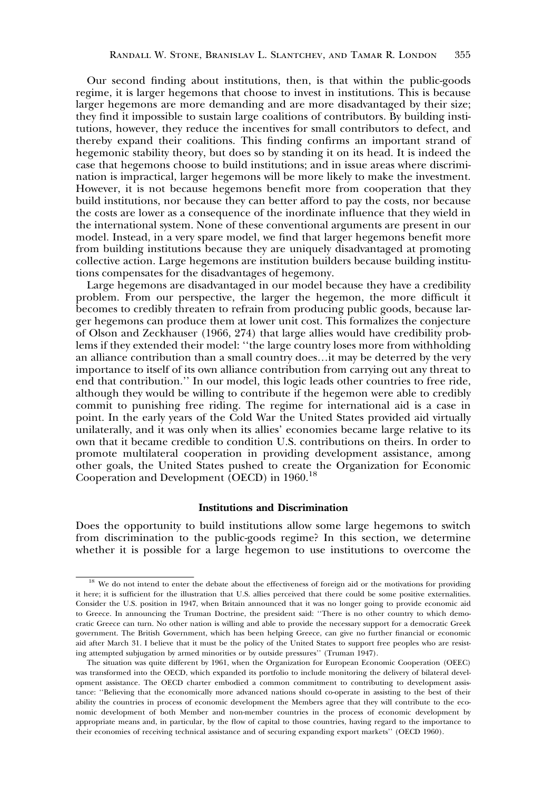Our second finding about institutions, then, is that within the public-goods regime, it is larger hegemons that choose to invest in institutions. This is because larger hegemons are more demanding and are more disadvantaged by their size; they find it impossible to sustain large coalitions of contributors. By building institutions, however, they reduce the incentives for small contributors to defect, and thereby expand their coalitions. This finding confirms an important strand of hegemonic stability theory, but does so by standing it on its head. It is indeed the case that hegemons choose to build institutions; and in issue areas where discrimination is impractical, larger hegemons will be more likely to make the investment. However, it is not because hegemons benefit more from cooperation that they build institutions, nor because they can better afford to pay the costs, nor because the costs are lower as a consequence of the inordinate influence that they wield in the international system. None of these conventional arguments are present in our model. Instead, in a very spare model, we find that larger hegemons benefit more from building institutions because they are uniquely disadvantaged at promoting collective action. Large hegemons are institution builders because building institutions compensates for the disadvantages of hegemony.

Large hegemons are disadvantaged in our model because they have a credibility problem. From our perspective, the larger the hegemon, the more difficult it becomes to credibly threaten to refrain from producing public goods, because larger hegemons can produce them at lower unit cost. This formalizes the conjecture of Olson and Zeckhauser (1966, 274) that large allies would have credibility problems if they extended their model: ''the large country loses more from withholding an alliance contribution than a small country does…it may be deterred by the very importance to itself of its own alliance contribution from carrying out any threat to end that contribution.'' In our model, this logic leads other countries to free ride, although they would be willing to contribute if the hegemon were able to credibly commit to punishing free riding. The regime for international aid is a case in point. In the early years of the Cold War the United States provided aid virtually unilaterally, and it was only when its allies' economies became large relative to its own that it became credible to condition U.S. contributions on theirs. In order to promote multilateral cooperation in providing development assistance, among other goals, the United States pushed to create the Organization for Economic Cooperation and Development (OECD) in 1960.<sup>18</sup>

## Institutions and Discrimination

Does the opportunity to build institutions allow some large hegemons to switch from discrimination to the public-goods regime? In this section, we determine whether it is possible for a large hegemon to use institutions to overcome the

<sup>&</sup>lt;sup>18</sup> We do not intend to enter the debate about the effectiveness of foreign aid or the motivations for providing it here; it is sufficient for the illustration that U.S. allies perceived that there could be some positive externalities. Consider the U.S. position in 1947, when Britain announced that it was no longer going to provide economic aid to Greece. In announcing the Truman Doctrine, the president said: ''There is no other country to which democratic Greece can turn. No other nation is willing and able to provide the necessary support for a democratic Greek government. The British Government, which has been helping Greece, can give no further financial or economic aid after March 31. I believe that it must be the policy of the United States to support free peoples who are resisting attempted subjugation by armed minorities or by outside pressures'' (Truman 1947).

The situation was quite different by 1961, when the Organization for European Economic Cooperation (OEEC) was transformed into the OECD, which expanded its portfolio to include monitoring the delivery of bilateral development assistance. The OECD charter embodied a common commitment to contributing to development assistance: ''Believing that the economically more advanced nations should co-operate in assisting to the best of their ability the countries in process of economic development the Members agree that they will contribute to the economic development of both Member and non-member countries in the process of economic development by appropriate means and, in particular, by the flow of capital to those countries, having regard to the importance to their economies of receiving technical assistance and of securing expanding export markets'' (OECD 1960).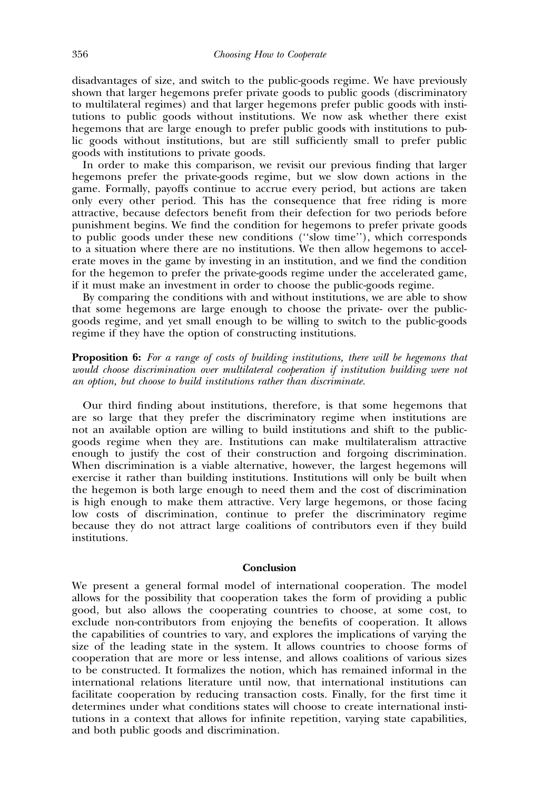disadvantages of size, and switch to the public-goods regime. We have previously shown that larger hegemons prefer private goods to public goods (discriminatory to multilateral regimes) and that larger hegemons prefer public goods with institutions to public goods without institutions. We now ask whether there exist hegemons that are large enough to prefer public goods with institutions to public goods without institutions, but are still sufficiently small to prefer public goods with institutions to private goods.

In order to make this comparison, we revisit our previous finding that larger hegemons prefer the private-goods regime, but we slow down actions in the game. Formally, payoffs continue to accrue every period, but actions are taken only every other period. This has the consequence that free riding is more attractive, because defectors benefit from their defection for two periods before punishment begins. We find the condition for hegemons to prefer private goods to public goods under these new conditions (''slow time''), which corresponds to a situation where there are no institutions. We then allow hegemons to accelerate moves in the game by investing in an institution, and we find the condition for the hegemon to prefer the private-goods regime under the accelerated game, if it must make an investment in order to choose the public-goods regime.

By comparing the conditions with and without institutions, we are able to show that some hegemons are large enough to choose the private- over the publicgoods regime, and yet small enough to be willing to switch to the public-goods regime if they have the option of constructing institutions.

Proposition 6: For a range of costs of building institutions, there will be hegemons that would choose discrimination over multilateral cooperation if institution building were not an option, but choose to build institutions rather than discriminate.

Our third finding about institutions, therefore, is that some hegemons that are so large that they prefer the discriminatory regime when institutions are not an available option are willing to build institutions and shift to the publicgoods regime when they are. Institutions can make multilateralism attractive enough to justify the cost of their construction and forgoing discrimination. When discrimination is a viable alternative, however, the largest hegemons will exercise it rather than building institutions. Institutions will only be built when the hegemon is both large enough to need them and the cost of discrimination is high enough to make them attractive. Very large hegemons, or those facing low costs of discrimination, continue to prefer the discriminatory regime because they do not attract large coalitions of contributors even if they build institutions.

#### Conclusion

We present a general formal model of international cooperation. The model allows for the possibility that cooperation takes the form of providing a public good, but also allows the cooperating countries to choose, at some cost, to exclude non-contributors from enjoying the benefits of cooperation. It allows the capabilities of countries to vary, and explores the implications of varying the size of the leading state in the system. It allows countries to choose forms of cooperation that are more or less intense, and allows coalitions of various sizes to be constructed. It formalizes the notion, which has remained informal in the international relations literature until now, that international institutions can facilitate cooperation by reducing transaction costs. Finally, for the first time it determines under what conditions states will choose to create international institutions in a context that allows for infinite repetition, varying state capabilities, and both public goods and discrimination.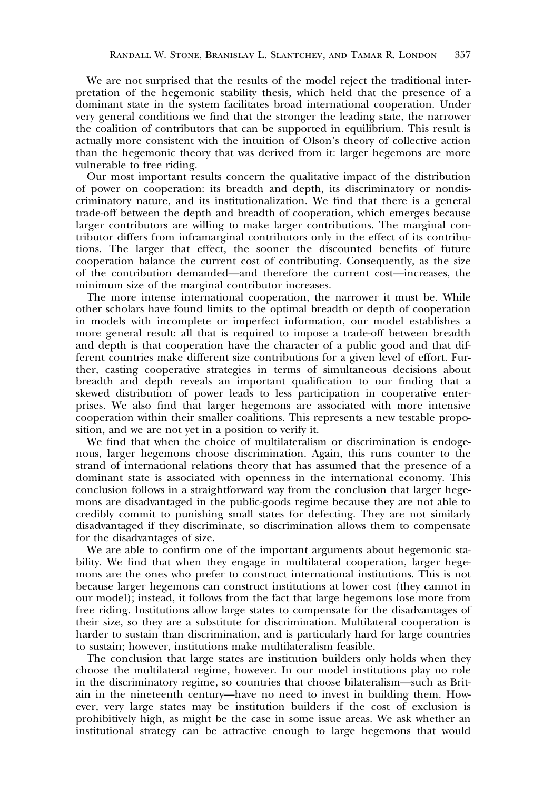We are not surprised that the results of the model reject the traditional interpretation of the hegemonic stability thesis, which held that the presence of a dominant state in the system facilitates broad international cooperation. Under very general conditions we find that the stronger the leading state, the narrower the coalition of contributors that can be supported in equilibrium. This result is actually more consistent with the intuition of Olson's theory of collective action than the hegemonic theory that was derived from it: larger hegemons are more vulnerable to free riding.

Our most important results concern the qualitative impact of the distribution of power on cooperation: its breadth and depth, its discriminatory or nondiscriminatory nature, and its institutionalization. We find that there is a general trade-off between the depth and breadth of cooperation, which emerges because larger contributors are willing to make larger contributions. The marginal contributor differs from inframarginal contributors only in the effect of its contributions. The larger that effect, the sooner the discounted benefits of future cooperation balance the current cost of contributing. Consequently, as the size of the contribution demanded—and therefore the current cost—increases, the minimum size of the marginal contributor increases.

The more intense international cooperation, the narrower it must be. While other scholars have found limits to the optimal breadth or depth of cooperation in models with incomplete or imperfect information, our model establishes a more general result: all that is required to impose a trade-off between breadth and depth is that cooperation have the character of a public good and that different countries make different size contributions for a given level of effort. Further, casting cooperative strategies in terms of simultaneous decisions about breadth and depth reveals an important qualification to our finding that a skewed distribution of power leads to less participation in cooperative enterprises. We also find that larger hegemons are associated with more intensive cooperation within their smaller coalitions. This represents a new testable proposition, and we are not yet in a position to verify it.

We find that when the choice of multilateralism or discrimination is endogenous, larger hegemons choose discrimination. Again, this runs counter to the strand of international relations theory that has assumed that the presence of a dominant state is associated with openness in the international economy. This conclusion follows in a straightforward way from the conclusion that larger hegemons are disadvantaged in the public-goods regime because they are not able to credibly commit to punishing small states for defecting. They are not similarly disadvantaged if they discriminate, so discrimination allows them to compensate for the disadvantages of size.

We are able to confirm one of the important arguments about hegemonic stability. We find that when they engage in multilateral cooperation, larger hegemons are the ones who prefer to construct international institutions. This is not because larger hegemons can construct institutions at lower cost (they cannot in our model); instead, it follows from the fact that large hegemons lose more from free riding. Institutions allow large states to compensate for the disadvantages of their size, so they are a substitute for discrimination. Multilateral cooperation is harder to sustain than discrimination, and is particularly hard for large countries to sustain; however, institutions make multilateralism feasible.

The conclusion that large states are institution builders only holds when they choose the multilateral regime, however. In our model institutions play no role in the discriminatory regime, so countries that choose bilateralism—such as Britain in the nineteenth century—have no need to invest in building them. However, very large states may be institution builders if the cost of exclusion is prohibitively high, as might be the case in some issue areas. We ask whether an institutional strategy can be attractive enough to large hegemons that would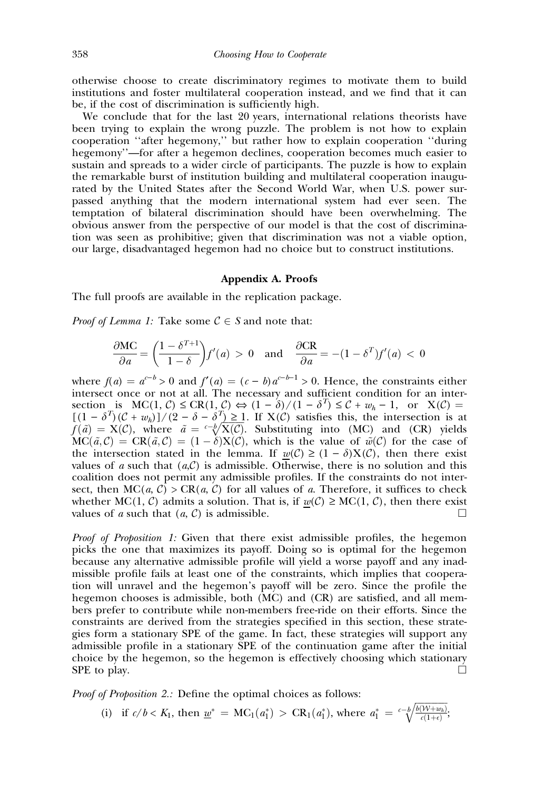otherwise choose to create discriminatory regimes to motivate them to build institutions and foster multilateral cooperation instead, and we find that it can be, if the cost of discrimination is sufficiently high.

We conclude that for the last 20 years, international relations theorists have been trying to explain the wrong puzzle. The problem is not how to explain cooperation ''after hegemony,'' but rather how to explain cooperation ''during hegemony''—for after a hegemon declines, cooperation becomes much easier to sustain and spreads to a wider circle of participants. The puzzle is how to explain the remarkable burst of institution building and multilateral cooperation inaugurated by the United States after the Second World War, when U.S. power surpassed anything that the modern international system had ever seen. The temptation of bilateral discrimination should have been overwhelming. The obvious answer from the perspective of our model is that the cost of discrimination was seen as prohibitive; given that discrimination was not a viable option, our large, disadvantaged hegemon had no choice but to construct institutions.

#### Appendix A. Proofs

The full proofs are available in the replication package.

*Proof of Lemma 1:* Take some  $C \in S$  and note that:

$$
\frac{\partial \text{MC}}{\partial a} = \left(\frac{1 - \delta^{T+1}}{1 - \delta}\right) f'(a) > 0 \quad \text{and} \quad \frac{\partial \text{CR}}{\partial a} = -(1 - \delta^T) f'(a) < 0
$$

where  $f(a) = a^{c-b} > 0$  and  $f'(a) = (c - b)a^{c-b-1} > 0$ . Hence, the constraints either intersect once or not at all. The necessary and sufficient condition for an intersection is  $MC(1, C) \leq CR(1, C) \Leftrightarrow (1 - \delta)/(1 - \delta^T) \leq C + w_h - 1$ , or  $X(C) =$  $[(1 - \delta^T)(C + w_h)]/(2 - \delta - \delta^T) \ge 1$ . If X(C) satisfies this, the intersection is at  $f(\tilde{a}) = X(\mathcal{C})$ , where  $\tilde{a} = \sqrt[\ell]{X(\mathcal{C})}$ . Substituting into (MC) and (CR) yields  $MC(\tilde{a}, \mathcal{C}) = CR(\tilde{a}, \mathcal{C}) = (1 - \delta)X(\mathcal{C})$ , which is the value of  $\tilde{w}(\mathcal{C})$  for the case of the intersection stated in the lemma. If  $w(C) \ge (1 - \delta)X(C)$ , then there exist values of a such that  $(a, C)$  is admissible. Otherwise, there is no solution and this coalition does not permit any admissible profiles. If the constraints do not intersect, then  $MC(a, C) > CR(a, C)$  for all values of a. Therefore, it suffices to check whether MC(1, C) admits a solution. That is, if  $w(C) \geq M(C(1, C))$ , then there exist values of a such that  $(a, \mathcal{C})$  is admissible.

Proof of Proposition 1: Given that there exist admissible profiles, the hegemon picks the one that maximizes its payoff. Doing so is optimal for the hegemon because any alternative admissible profile will yield a worse payoff and any inadmissible profile fails at least one of the constraints, which implies that cooperation will unravel and the hegemon's payoff will be zero. Since the profile the hegemon chooses is admissible, both (MC) and (CR) are satisfied, and all members prefer to contribute while non-members free-ride on their efforts. Since the constraints are derived from the strategies specified in this section, these strategies form a stationary SPE of the game. In fact, these strategies will support any admissible profile in a stationary SPE of the continuation game after the initial choice by the hegemon, so the hegemon is effectively choosing which stationary  $SPE$  to play.  $\Box$ 

Proof of Proposition 2.: Define the optimal choices as follows:

(i) if 
$$
c/b < K_1
$$
, then  $\underline{w}^* = MC_1(a_1^*) > CR_1(a_1^*)$ , where  $a_1^* = \sqrt[b]{\frac{b(W+w_h)}{c(1+e)}}$ .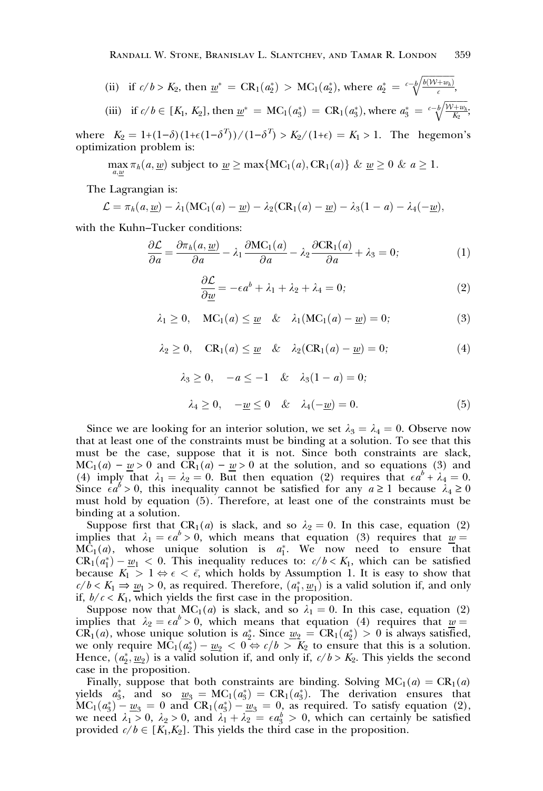(ii) if  $c/b > K_2$ , then  $\underline{w}^* = \text{CR}_1(a_2^*) > \text{MC}_1(a_2^*)$ , where  $a_2^* = \sqrt[b]{\frac{b(\mathcal{W} + w_h)}{c}}$  $\overline{\phantom{a}}$ ,  $\sqrt{h}$ 

(iii) if 
$$
c/b \in [K_1, K_2]
$$
, then  $\underline{w}^* = \text{MC}_1(a_3^*) = \text{CR}_1(a_3^*)$ , where  $a_3^* = \sqrt[c-b]{\frac{\mathcal{W} + w_h}{K_2}}$ ;

where  $K_2 = 1 + (1 - \delta)(1 + \epsilon(1 - \delta^T))/(1 - \delta^T) > K_2/(1 + \epsilon) = K_1 > 1$ . The hegemon's optimization problem is:

$$
\max_{a,\underline{w}} \pi_h(a,\underline{w})
$$
 subject to  $\underline{w} \ge \max\{MC_1(a), CR_1(a)\} \& \underline{w} \ge 0 \& a \ge 1.$ 

The Lagrangian is:

$$
\mathcal{L} = \pi_h(a, \underline{w}) - \lambda_1(MC_1(a) - \underline{w}) - \lambda_2(CR_1(a) - \underline{w}) - \lambda_3(1 - a) - \lambda_4(-\underline{w}),
$$

with the Kuhn–Tucker conditions:

$$
\frac{\partial \mathcal{L}}{\partial a} = \frac{\partial \pi_h(a, \underline{w})}{\partial a} - \lambda_1 \frac{\partial \mathrm{MC}_1(a)}{\partial a} - \lambda_2 \frac{\partial \mathrm{CR}_1(a)}{\partial a} + \lambda_3 = 0; \tag{1}
$$

$$
\frac{\partial \mathcal{L}}{\partial \underline{w}} = -\epsilon a^b + \lambda_1 + \lambda_2 + \lambda_4 = 0; \tag{2}
$$

$$
\lambda_1 \ge 0
$$
,  $MC_1(a) \le \underline{w} \& \lambda_1(MC_1(a) - \underline{w}) = 0$ ;\n
$$
(3)
$$

 $\lambda_2 \ge 0$ ,  $CR_1(a) \le \underline{w}$  &  $\lambda_2(CR_1(a) - \underline{w}) = 0;$  (4)

$$
\lambda_3 \ge 0, \quad -a \le -1 \quad \& \quad \lambda_3(1-a) = 0;
$$
  

$$
\lambda_4 \ge 0, \quad -\underline{w} \le 0 \quad \& \quad \lambda_4(-\underline{w}) = 0.
$$
 (5)

Since we are looking for an interior solution, we set  $\lambda_3 = \lambda_4 = 0$ . Observe now that at least one of the constraints must be binding at a solution. To see that this must be the case, suppose that it is not. Since both constraints are slack,  $MC_1(a) - w > 0$  and  $CR_1(a) - w > 0$  at the solution, and so equations (3) and (4) imply that  $\lambda_1 = \lambda_2 = 0$ . But then equation (2) requires that  $\epsilon a^b + \lambda_4 = 0$ . Since  $\epsilon a^b > 0$ , this inequality cannot be satisfied for any  $a \ge 1$  because  $\lambda_4 \ge 0$ must hold by equation (5). Therefore, at least one of the constraints must be binding at a solution.

Suppose first that  $CR_1(a)$  is slack, and so  $\lambda_2 = 0$ . In this case, equation (2) implies that  $\lambda_1 = \epsilon a^b > 0$ , which means that equation (3) requires that  $w =$  $MC_1(a)$ , whose unique solution is  $a_1^*$ . We now need to ensure that  $CR_1(a_1^*) - \underline{w}_1 < 0$ . This inequality reduces to:  $c/b < K_1$ , which can be satisfied because  $K_1 > 1 \Leftrightarrow \epsilon < \bar{\epsilon}$ , which holds by Assumption 1. It is easy to show that  $c/b < K_1 \Rightarrow w_1 > 0$ , as required. Therefore,  $(a_1^*, \underline{w}_1)$  is a valid solution if, and only if,  $b/c < K_1$ , which yields the first case in the proposition.

Suppose now that  $MC_1(a)$  is slack, and so  $\lambda_1 = 0$ . In this case, equation (2) implies that  $\lambda_2 = \epsilon a^b > 0$ , which means that equation (4) requires that  $w =$  $CR_1(a)$ , whose unique solution is  $a_2^*$ . Since  $\underline{w}_2 = CR_1(a_2^*) > 0$  is always satisfied, we only require  $\widehat{MC}_1(a_2^*) - \underline{w}_2 < 0 \Leftrightarrow c/b > K_2$  to ensure that this is a solution. Hence,  $(a_2^*, \underline{w}_2)$  is a valid solution if, and only if,  $c/b > K_2$ . This yields the second case in the proposition.

Finally, suppose that both constraints are binding. Solving  $MC_1(a) = CR_1(a)$ yields  $a_3^*$ , and so  $\underline{w}_3 = MC_1(a_3^*) = CR_1(a_3^*)$ . The derivation ensures that  $MC_1(a_3^*) - \underline{w}_3 = 0$  and  $CR_1(a_3^*) - \underline{w}_3 = 0$ , as required. To satisfy equation (2), we need  $\lambda_1 > 0$ ,  $\lambda_2 > 0$ , and  $\lambda_1 + \lambda_2 = \epsilon a_3^b > 0$ , which can certainly be satisfied provided  $c/b \in [K_1,K_2]$ . This yields the third case in the proposition.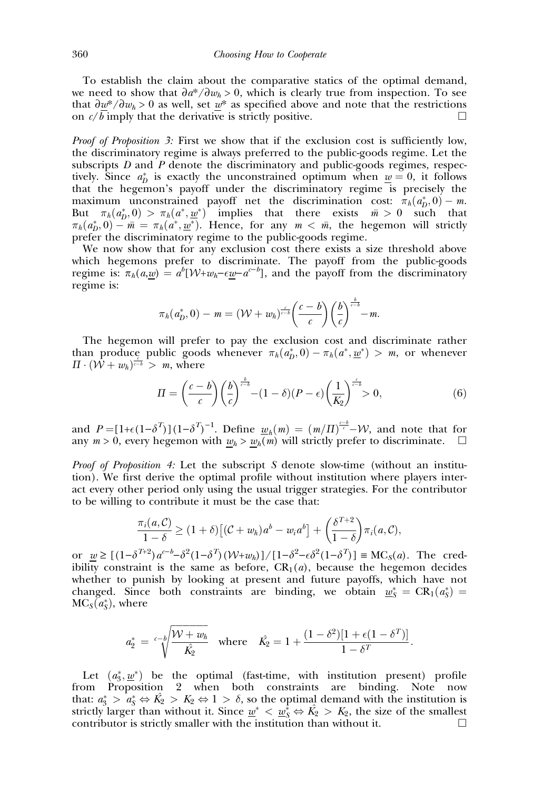To establish the claim about the comparative statics of the optimal demand, we need to show that  $\frac{\partial a^*}{\partial w_h} > 0$ , which is clearly true from inspection. To see that  $\frac{\partial w^*}{\partial w_h} > 0$  as well, set  $w^*$  as specified above and note that the restrictions on  $c/b$  imply that the derivative is strictly positive.

Proof of Proposition 3: First we show that if the exclusion cost is sufficiently low, the discriminatory regime is always preferred to the public-goods regime. Let the subscripts D and P denote the discriminatory and public-goods regimes, respectively. Since  $a_D^*$  is exactly the unconstrained optimum when  $\underline{w} = 0$ , it follows that the hegemon's payoff under the discriminatory regime is precisely the maximum unconstrained payoff net the discrimination cost:  $\pi_h(a_D^*, 0) - m$ . But  $\pi_h(a_D^*,0) > \pi_h(a^*,\underline{w}^*)$  implies that there exists  $\bar{m} > 0$  such that  $\pi_h(a_D^*, 0) - \bar{m} = \pi_h(a^*, \underline{w}^*)$ . Hence, for any  $m < \bar{m}$ , the hegemon will strictly prefer the discriminatory regime to the public-goods regime.

We now show that for any exclusion cost there exists a size threshold above which hegemons prefer to discriminate. The payoff from the public-goods regime is:  $\pi_h(a, \underline{w}) = a^b[W+w_h-\epsilon\underline{w} - a^{c-b}]$ , and the payoff from the discriminatory regime is:

$$
\pi_h(a_D^*,0)-m=(\mathcal{W}+w_h)^{\frac{c}{c-b}}\bigg(\frac{c-b}{c}\bigg)\bigg(\frac{b}{c}\bigg)^{\frac{b}{c-b}}-m.
$$

The hegemon will prefer to pay the exclusion cost and discriminate rather than produce public goods whenever  $\pi_h(a_D^*,0) - \pi_h(a^*, \underline{w}^*) > m$ , or whenever  $\Pi \cdot (\mathcal{W} + w_h)^{\overline{c-b}} > m$ , where

$$
\Pi = \left(\frac{c-b}{c}\right) \left(\frac{b}{c}\right)^{\frac{b}{c-b}} - (1-\delta)(P-\epsilon) \left(\frac{1}{K_2}\right)^{\frac{c}{c-b}} > 0,\tag{6}
$$

and  $P=[1+\epsilon(1-\delta^T)](1-\delta^T)^{-1}$ . Define  $\underline{w}_h(m)=(m/\Pi)^{\frac{c-b}{\epsilon}}-W$ , and note that for any  $m > 0$ , every hegemon with  $w_h > w_h(m)$  will strictly prefer to discriminate.  $\square$ 

*Proof of Proposition 4:* Let the subscript S denote slow-time (without an institution). We first derive the optimal profile without institution where players interact every other period only using the usual trigger strategies. For the contributor to be willing to contribute it must be the case that:

$$
\frac{\pi_i(a,\mathcal{C})}{1-\delta} \ge (1+\delta) \big[ (\mathcal{C}+w_h)a^b - w_i a^b \big] + \bigg(\frac{\delta^{T+2}}{1-\delta}\bigg) \pi_i(a,\mathcal{C}),
$$

or  $\underline{w} \geq [(1-\delta^{T+2})a^{c-b}-\delta^2(1-\delta^T)(\mathcal{W}+w_h)]/[1-\delta^2-\epsilon\delta^2(1-\delta^T)] \equiv \text{MC}_S(a)$ . The credibility constraint is the same as before,  $CR<sub>1</sub>(a)$ , because the hegemon decides whether to punish by looking at present and future payoffs, which have not changed. Since both constraints are binding, we obtain  $\mathbf{w}_S^* = \mathbf{CR}_1(a_S^*) =$  $MC_S(\alpha_S^*)$ , where

$$
a_2^* = \sqrt[\epsilon - b]{\frac{\mathcal{W} + w_h}{\hat{K_2}}} \quad \text{where} \quad \hat{K_2} = 1 + \frac{(1 - \delta^2)[1 + \epsilon(1 - \delta^T)]}{1 - \delta^T}.
$$

Let  $(a_3^*, \underline{w}^*)$  be the optimal (fast-time, with institution present) profile from Proposition 2 when both constraints are binding. Note now that:  $a_3^* > a_5^* \Leftrightarrow \hat{K_2} > K_2 \Leftrightarrow 1 > \delta$ , so the optimal demand with the institution is strictly larger than without it. Since  $w^* < w_S^* \Leftrightarrow \hat{K_2} > K_2$ , the size of the smallest contributor is strictly smaller with the institution than without it.  $\Box$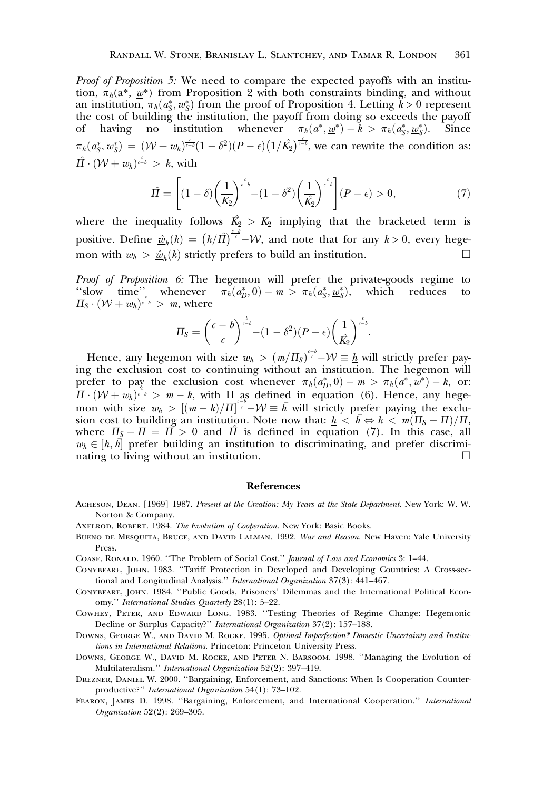Proof of Proposition 5: We need to compare the expected payoffs with an institution,  $\pi_h(a^*, \underline{w}^*)$  from Proposition 2 with both constraints binding, and without an institution,  $\pi_h(a_S^*, \underline{w}_S^*)$  from the proof of Proposition 4. Letting  $k > 0$  represent the cost of building the institution, the payoff from doing so exceeds the payoff of having no institution whenever  $\pi_h(a^*, \underline{w}^*) - k > \pi_h(a^*_S, \underline{w}^*_S)$ Since  $\pi_h(a_S^*, \underline{w}_S^*) = (\mathcal{W} + w_h)^{\frac{\epsilon}{\epsilon - b}} (1 - \delta^2)(P - \epsilon) (1/\hat{K_2})^{\frac{\epsilon}{\epsilon - b}}$ , we can rewrite the condition as:  $\hat{\Pi} \cdot (\mathcal{W} + w_h)^{\frac{c}{c-b}} > k$ , with

$$
\hat{II} = \left[ (1-\delta) \left( \frac{1}{K_2} \right)^{\frac{\epsilon}{\epsilon - \delta}} - (1-\delta^2) \left( \frac{1}{\hat{K_2}} \right)^{\frac{\epsilon}{\epsilon - \delta}} \right] (P - \epsilon) > 0, \tag{7}
$$

where the inequality follows  $\hat{K_2} > K_2$  implying that the bracketed term is positive. Define  $\hat{\underline{w}}_h(k) = (k/\hat{\Pi})^{\frac{c-k}{\epsilon}} - \mathcal{W}$ , and note that for any  $k > 0$ , every hegemon with  $w_h > \hat{w}_h(k)$  strictly prefers to build an institution.

Proof of Proposition 6: The hegemon will prefer the private-goods regime to "slow time" whenever  $\pi_h(a_D^*, 0) - m > \pi_h(a_S^*, \underline{w}_S^*)$ , which reduces to  $\Pi_S \cdot (\mathcal{W} + w_h)^{\frac{c}{c-b}} > m$ , where

$$
\Pi_S = \left(\frac{c-b}{c}\right)^{\frac{b}{c-b}} - (1-\delta^2)(P-\epsilon)\left(\frac{1}{\hat{K_2}}\right)^{\frac{c}{c-b}}.
$$

Hence, any hegemon with size  $w_h > (m / \Pi_S)^{\frac{c-b}{c}} - \mathcal{W} \equiv \underline{h}$  will strictly prefer paying the exclusion cost to continuing without an institution. The hegemon will prefer to pay the exclusion cost whenever  $\pi_h(a_D^*, 0) - m > \pi_h(a^*, \underline{w}^*) - k$ , or:  $\Pi \cdot (W + w_h)^{\frac{c}{c-b}} > m - k$ , with  $\Pi$  as defined in equation (6). Hence, any hegemon with size  $w_h > [(m-k)/\Pi]^{\frac{c-k}{c}} - \mathcal{W} \equiv \bar{h}$  will strictly prefer paying the exclusion cost to building an institution. Note now that:  $h < h \Leftrightarrow h < m(H_S - H)/H$ , where  $\Pi_{\mathcal{S}} - \Pi = \tilde{\Pi} > 0$  and  $\hat{\Pi}$  is defined in equation (7). In this case, all  $w_h \in [\underline{h}, \overline{h}]$  prefer building an institution to discriminating, and prefer discriminating to living without an institution.  $\Box$ 

### References

- Acheson, Dean. [1969] 1987. Present at the Creation: My Years at the State Department. New York: W. W. Norton & Company.
- AXELROD, ROBERT. 1984. The Evolution of Cooperation. New York: Basic Books.
- BUENO DE MESQUITA, BRUCE, AND DAVID LALMAN. 1992. War and Reason. New Haven: Yale University Press.
- COASE, RONALD. 1960. "The Problem of Social Cost." Journal of Law and Economics 3: 1-44.
- Conybeare, John. 1983. ''Tariff Protection in Developed and Developing Countries: A Cross-sectional and Longitudinal Analysis.'' International Organization 37(3): 441–467.
- Conybeare, John. 1984. ''Public Goods, Prisoners' Dilemmas and the International Political Economy.'' International Studies Quarterly 28(1): 5–22.
- Cowhey, Peter, and Edward Long. 1983. ''Testing Theories of Regime Change: Hegemonic Decline or Surplus Capacity?'' International Organization 37(2): 157–188.
- DOWNS, GEORGE W., AND DAVID M. ROCKE. 1995. Optimal Imperfection? Domestic Uncertainty and Institutions in International Relations. Princeton: Princeton University Press.
- Downs, George W., David M. Rocke, and Peter N. Barsoom. 1998. ''Managing the Evolution of Multilateralism.'' International Organization 52(2): 397–419.
- Drezner, Daniel W. 2000. ''Bargaining, Enforcement, and Sanctions: When Is Cooperation Counterproductive?'' International Organization 54(1): 73–102.
- Fearon, James D. 1998. ''Bargaining, Enforcement, and International Cooperation.'' International Organization 52(2): 269–305.